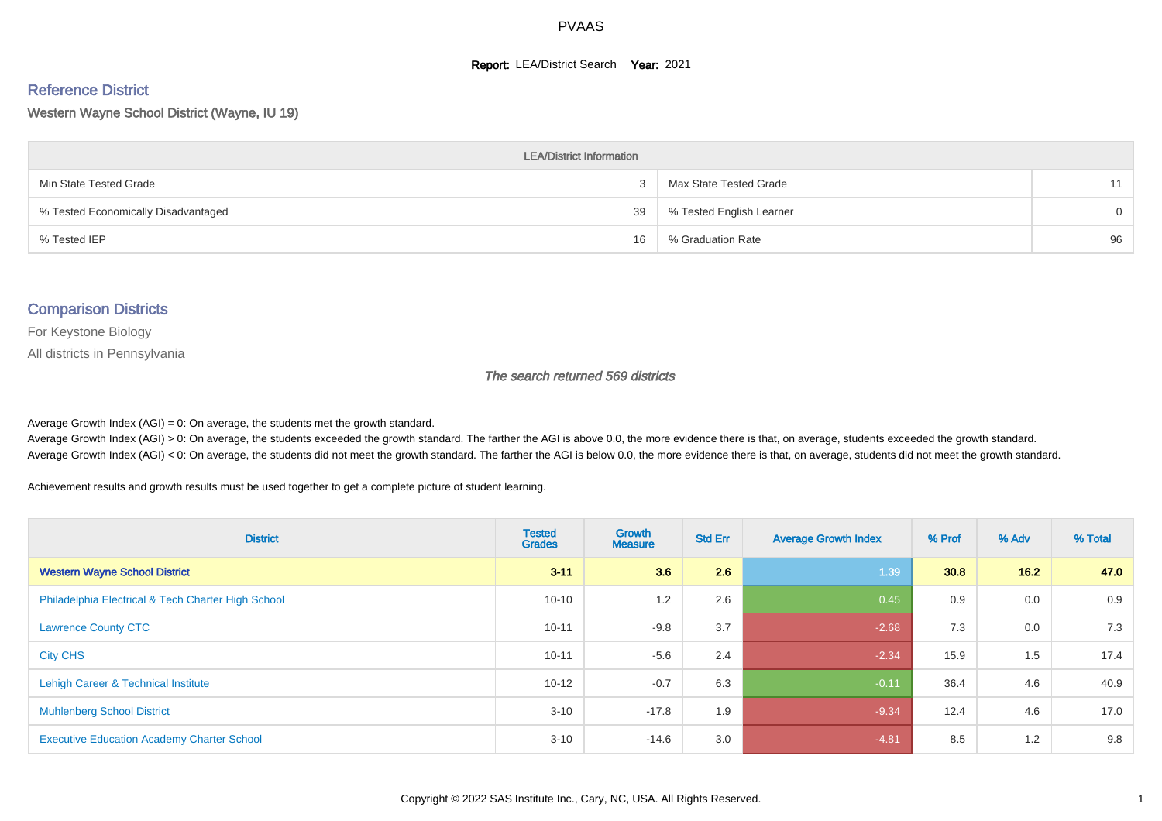#### **Report: LEA/District Search Year: 2021**

#### Reference District

Western Wayne School District (Wayne, IU 19)

| <b>LEA/District Information</b>     |    |                          |          |  |  |  |  |  |  |
|-------------------------------------|----|--------------------------|----------|--|--|--|--|--|--|
| Min State Tested Grade              |    | Max State Tested Grade   | 11       |  |  |  |  |  |  |
| % Tested Economically Disadvantaged | 39 | % Tested English Learner | $\Omega$ |  |  |  |  |  |  |
| % Tested IEP                        | 16 | % Graduation Rate        | 96       |  |  |  |  |  |  |

#### Comparison Districts

For Keystone Biology

All districts in Pennsylvania

The search returned 569 districts

Average Growth Index  $(AGI) = 0$ : On average, the students met the growth standard.

Average Growth Index (AGI) > 0: On average, the students exceeded the growth standard. The farther the AGI is above 0.0, the more evidence there is that, on average, students exceeded the growth standard. Average Growth Index (AGI) < 0: On average, the students did not meet the growth standard. The farther the AGI is below 0.0, the more evidence there is that, on average, students did not meet the growth standard.

Achievement results and growth results must be used together to get a complete picture of student learning.

| <b>District</b>                                    | <b>Tested</b><br><b>Grades</b> | Growth<br><b>Measure</b> | <b>Std Err</b> | <b>Average Growth Index</b> | % Prof | % Adv | % Total |
|----------------------------------------------------|--------------------------------|--------------------------|----------------|-----------------------------|--------|-------|---------|
| <b>Western Wayne School District</b>               | $3 - 11$                       | 3.6                      | 2.6            | 1.39                        | 30.8   | 16.2  | 47.0    |
| Philadelphia Electrical & Tech Charter High School | $10 - 10$                      | 1.2                      | 2.6            | 0.45                        | 0.9    | 0.0   | 0.9     |
| <b>Lawrence County CTC</b>                         | $10 - 11$                      | $-9.8$                   | 3.7            | $-2.68$                     | 7.3    | 0.0   | 7.3     |
| <b>City CHS</b>                                    | $10 - 11$                      | $-5.6$                   | 2.4            | $-2.34$                     | 15.9   | 1.5   | 17.4    |
| Lehigh Career & Technical Institute                | $10 - 12$                      | $-0.7$                   | 6.3            | $-0.11$                     | 36.4   | 4.6   | 40.9    |
| <b>Muhlenberg School District</b>                  | $3 - 10$                       | $-17.8$                  | 1.9            | $-9.34$                     | 12.4   | 4.6   | 17.0    |
| <b>Executive Education Academy Charter School</b>  | $3 - 10$                       | $-14.6$                  | 3.0            | $-4.81$                     | 8.5    | 1.2   | 9.8     |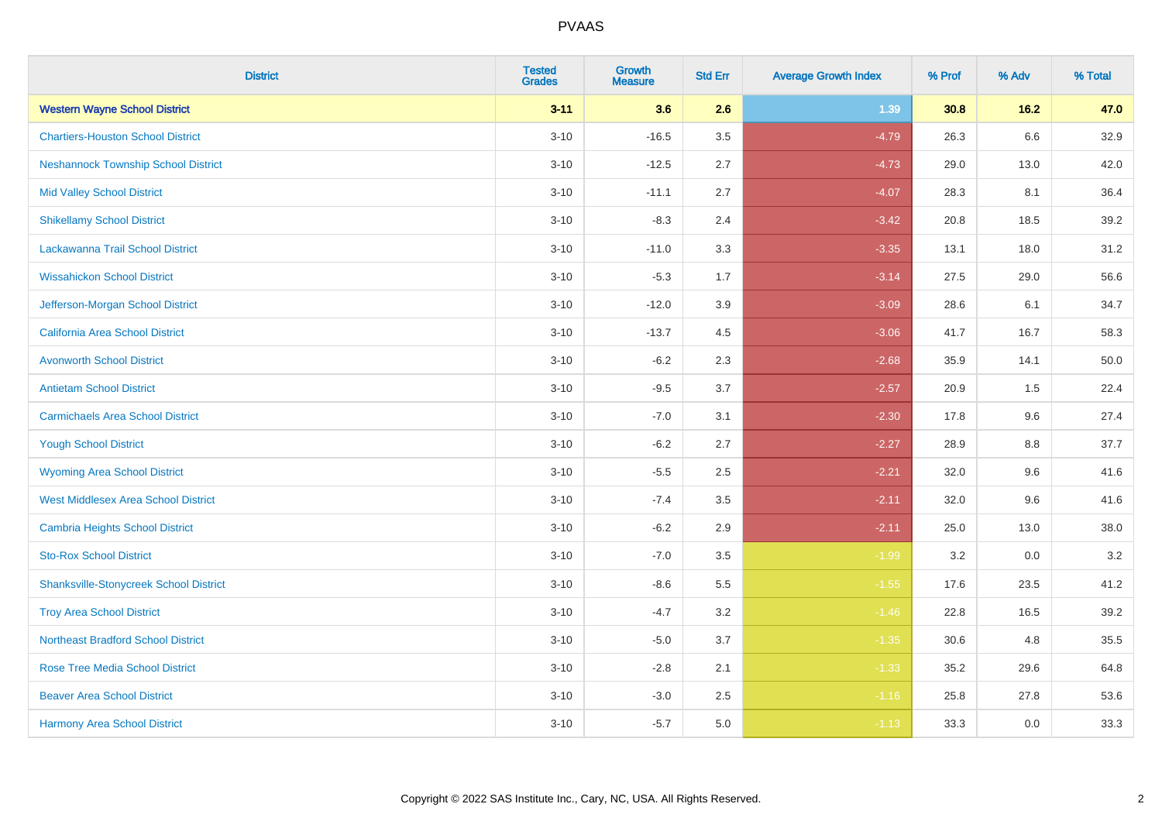| <b>District</b>                               | <b>Tested</b><br><b>Grades</b> | <b>Growth</b><br><b>Measure</b> | <b>Std Err</b> | <b>Average Growth Index</b> | % Prof | % Adv   | % Total |
|-----------------------------------------------|--------------------------------|---------------------------------|----------------|-----------------------------|--------|---------|---------|
| <b>Western Wayne School District</b>          | $3 - 11$                       | 3.6                             | 2.6            | 1.39                        | 30.8   | $16.2$  | 47.0    |
| <b>Chartiers-Houston School District</b>      | $3 - 10$                       | $-16.5$                         | 3.5            | $-4.79$                     | 26.3   | $6.6\,$ | 32.9    |
| <b>Neshannock Township School District</b>    | $3 - 10$                       | $-12.5$                         | 2.7            | $-4.73$                     | 29.0   | 13.0    | 42.0    |
| <b>Mid Valley School District</b>             | $3 - 10$                       | $-11.1$                         | 2.7            | $-4.07$                     | 28.3   | 8.1     | 36.4    |
| <b>Shikellamy School District</b>             | $3 - 10$                       | $-8.3$                          | 2.4            | $-3.42$                     | 20.8   | 18.5    | 39.2    |
| Lackawanna Trail School District              | $3 - 10$                       | $-11.0$                         | 3.3            | $-3.35$                     | 13.1   | 18.0    | 31.2    |
| <b>Wissahickon School District</b>            | $3 - 10$                       | $-5.3$                          | 1.7            | $-3.14$                     | 27.5   | 29.0    | 56.6    |
| Jefferson-Morgan School District              | $3 - 10$                       | $-12.0$                         | 3.9            | $-3.09$                     | 28.6   | 6.1     | 34.7    |
| California Area School District               | $3 - 10$                       | $-13.7$                         | 4.5            | $-3.06$                     | 41.7   | 16.7    | 58.3    |
| <b>Avonworth School District</b>              | $3 - 10$                       | $-6.2$                          | 2.3            | $-2.68$                     | 35.9   | 14.1    | 50.0    |
| <b>Antietam School District</b>               | $3 - 10$                       | $-9.5$                          | 3.7            | $-2.57$                     | 20.9   | 1.5     | 22.4    |
| <b>Carmichaels Area School District</b>       | $3 - 10$                       | $-7.0$                          | 3.1            | $-2.30$                     | 17.8   | 9.6     | 27.4    |
| <b>Yough School District</b>                  | $3 - 10$                       | $-6.2$                          | 2.7            | $-2.27$                     | 28.9   | 8.8     | 37.7    |
| <b>Wyoming Area School District</b>           | $3 - 10$                       | $-5.5$                          | 2.5            | $-2.21$                     | 32.0   | 9.6     | 41.6    |
| <b>West Middlesex Area School District</b>    | $3 - 10$                       | $-7.4$                          | 3.5            | $-2.11$                     | 32.0   | 9.6     | 41.6    |
| <b>Cambria Heights School District</b>        | $3 - 10$                       | $-6.2$                          | 2.9            | $-2.11$                     | 25.0   | 13.0    | 38.0    |
| <b>Sto-Rox School District</b>                | $3 - 10$                       | $-7.0$                          | 3.5            | $-1.99$                     | 3.2    | 0.0     | $3.2\,$ |
| <b>Shanksville-Stonycreek School District</b> | $3 - 10$                       | $-8.6$                          | 5.5            | $-1.55$                     | 17.6   | 23.5    | 41.2    |
| <b>Troy Area School District</b>              | $3 - 10$                       | $-4.7$                          | 3.2            | $-1.46$                     | 22.8   | 16.5    | 39.2    |
| <b>Northeast Bradford School District</b>     | $3 - 10$                       | $-5.0$                          | 3.7            | $-1.35$                     | 30.6   | 4.8     | 35.5    |
| <b>Rose Tree Media School District</b>        | $3 - 10$                       | $-2.8$                          | 2.1            | $-1.33$                     | 35.2   | 29.6    | 64.8    |
| <b>Beaver Area School District</b>            | $3 - 10$                       | $-3.0$                          | 2.5            | $-1.16$                     | 25.8   | 27.8    | 53.6    |
| <b>Harmony Area School District</b>           | $3 - 10$                       | $-5.7$                          | 5.0            | $-1.13$                     | 33.3   | 0.0     | 33.3    |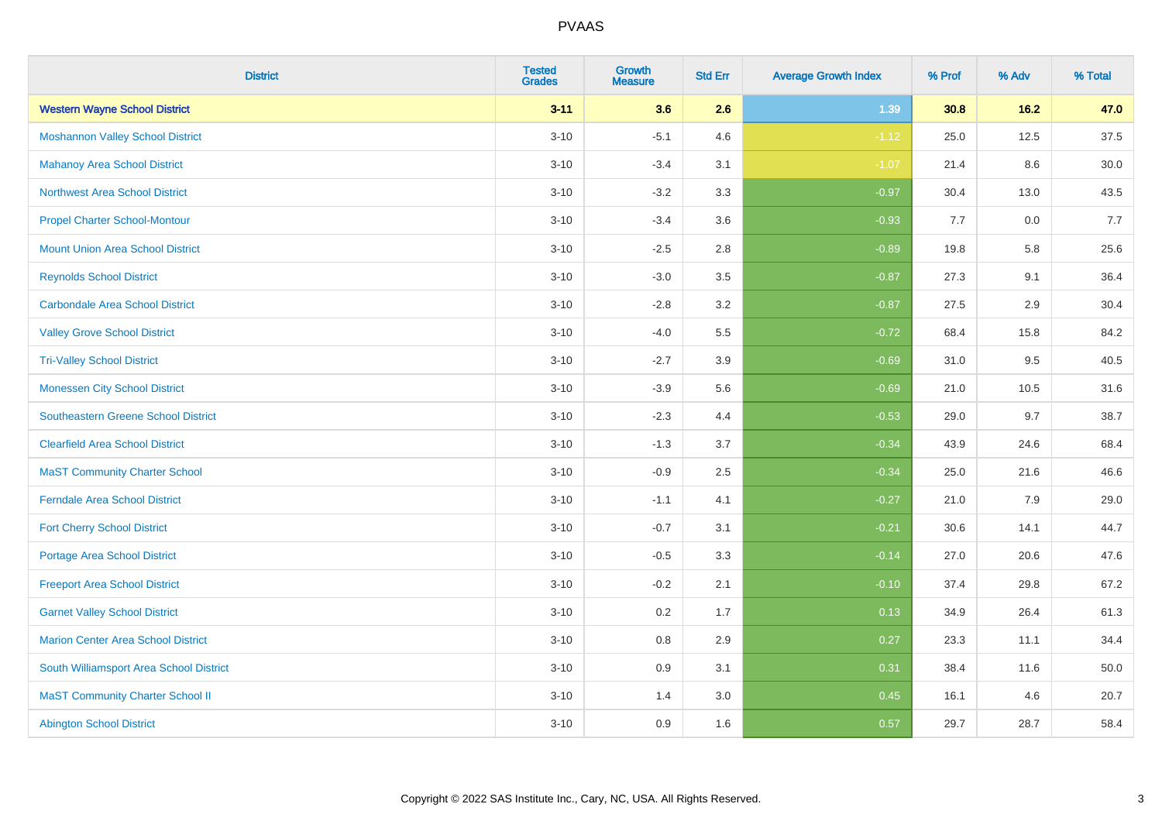| <b>District</b>                            | <b>Tested</b><br><b>Grades</b> | <b>Growth</b><br><b>Measure</b> | <b>Std Err</b> | <b>Average Growth Index</b> | % Prof | % Adv  | % Total |
|--------------------------------------------|--------------------------------|---------------------------------|----------------|-----------------------------|--------|--------|---------|
| <b>Western Wayne School District</b>       | $3 - 11$                       | 3.6                             | 2.6            | 1.39                        | 30.8   | $16.2$ | 47.0    |
| <b>Moshannon Valley School District</b>    | $3 - 10$                       | $-5.1$                          | 4.6            | $-1.12$                     | 25.0   | 12.5   | 37.5    |
| <b>Mahanoy Area School District</b>        | $3 - 10$                       | $-3.4$                          | 3.1            | $-1.07$                     | 21.4   | 8.6    | 30.0    |
| <b>Northwest Area School District</b>      | $3 - 10$                       | $-3.2$                          | 3.3            | $-0.97$                     | 30.4   | 13.0   | 43.5    |
| <b>Propel Charter School-Montour</b>       | $3 - 10$                       | $-3.4$                          | 3.6            | $-0.93$                     | 7.7    | 0.0    | 7.7     |
| <b>Mount Union Area School District</b>    | $3 - 10$                       | $-2.5$                          | 2.8            | $-0.89$                     | 19.8   | 5.8    | 25.6    |
| <b>Reynolds School District</b>            | $3 - 10$                       | $-3.0$                          | 3.5            | $-0.87$                     | 27.3   | 9.1    | 36.4    |
| <b>Carbondale Area School District</b>     | $3 - 10$                       | $-2.8$                          | 3.2            | $-0.87$                     | 27.5   | 2.9    | 30.4    |
| <b>Valley Grove School District</b>        | $3 - 10$                       | $-4.0$                          | 5.5            | $-0.72$                     | 68.4   | 15.8   | 84.2    |
| <b>Tri-Valley School District</b>          | $3 - 10$                       | $-2.7$                          | 3.9            | $-0.69$                     | 31.0   | 9.5    | 40.5    |
| <b>Monessen City School District</b>       | $3 - 10$                       | $-3.9$                          | 5.6            | $-0.69$                     | 21.0   | 10.5   | 31.6    |
| <b>Southeastern Greene School District</b> | $3 - 10$                       | $-2.3$                          | 4.4            | $-0.53$                     | 29.0   | 9.7    | 38.7    |
| <b>Clearfield Area School District</b>     | $3 - 10$                       | $-1.3$                          | 3.7            | $-0.34$                     | 43.9   | 24.6   | 68.4    |
| <b>MaST Community Charter School</b>       | $3 - 10$                       | $-0.9$                          | 2.5            | $-0.34$                     | 25.0   | 21.6   | 46.6    |
| <b>Ferndale Area School District</b>       | $3 - 10$                       | $-1.1$                          | 4.1            | $-0.27$                     | 21.0   | 7.9    | 29.0    |
| <b>Fort Cherry School District</b>         | $3 - 10$                       | $-0.7$                          | 3.1            | $-0.21$                     | 30.6   | 14.1   | 44.7    |
| <b>Portage Area School District</b>        | $3 - 10$                       | $-0.5$                          | 3.3            | $-0.14$                     | 27.0   | 20.6   | 47.6    |
| <b>Freeport Area School District</b>       | $3 - 10$                       | $-0.2$                          | 2.1            | $-0.10$                     | 37.4   | 29.8   | 67.2    |
| <b>Garnet Valley School District</b>       | $3 - 10$                       | 0.2                             | 1.7            | 0.13                        | 34.9   | 26.4   | 61.3    |
| Marion Center Area School District         | $3 - 10$                       | 0.8                             | 2.9            | 0.27                        | 23.3   | 11.1   | 34.4    |
| South Williamsport Area School District    | $3 - 10$                       | 0.9                             | 3.1            | 0.31                        | 38.4   | 11.6   | 50.0    |
| <b>MaST Community Charter School II</b>    | $3 - 10$                       | 1.4                             | 3.0            | 0.45                        | 16.1   | 4.6    | 20.7    |
| <b>Abington School District</b>            | $3 - 10$                       | 0.9                             | 1.6            | 0.57                        | 29.7   | 28.7   | 58.4    |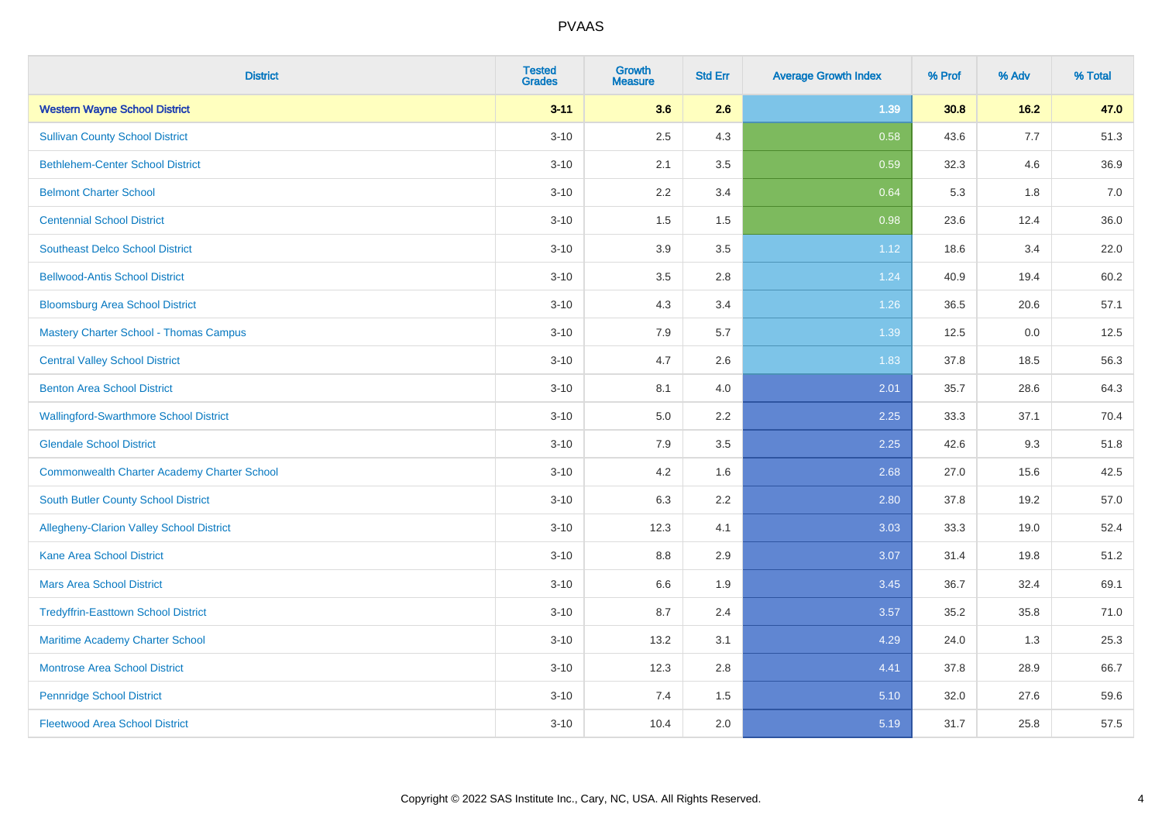| <b>District</b>                                    | <b>Tested</b><br><b>Grades</b> | <b>Growth</b><br><b>Measure</b> | <b>Std Err</b> | <b>Average Growth Index</b> | % Prof | % Adv | % Total |
|----------------------------------------------------|--------------------------------|---------------------------------|----------------|-----------------------------|--------|-------|---------|
| <b>Western Wayne School District</b>               | $3 - 11$                       | 3.6                             | 2.6            | 1.39                        | 30.8   | 16.2  | 47.0    |
| <b>Sullivan County School District</b>             | $3 - 10$                       | 2.5                             | 4.3            | 0.58                        | 43.6   | 7.7   | 51.3    |
| <b>Bethlehem-Center School District</b>            | $3 - 10$                       | 2.1                             | 3.5            | 0.59                        | 32.3   | 4.6   | 36.9    |
| <b>Belmont Charter School</b>                      | $3 - 10$                       | 2.2                             | 3.4            | 0.64                        | 5.3    | 1.8   | 7.0     |
| <b>Centennial School District</b>                  | $3 - 10$                       | 1.5                             | 1.5            | 0.98                        | 23.6   | 12.4  | 36.0    |
| <b>Southeast Delco School District</b>             | $3 - 10$                       | 3.9                             | 3.5            | 1.12                        | 18.6   | 3.4   | 22.0    |
| <b>Bellwood-Antis School District</b>              | $3 - 10$                       | 3.5                             | 2.8            | 1.24                        | 40.9   | 19.4  | 60.2    |
| <b>Bloomsburg Area School District</b>             | $3 - 10$                       | 4.3                             | 3.4            | 1.26                        | 36.5   | 20.6  | 57.1    |
| <b>Mastery Charter School - Thomas Campus</b>      | $3 - 10$                       | 7.9                             | 5.7            | 1.39                        | 12.5   | 0.0   | 12.5    |
| <b>Central Valley School District</b>              | $3 - 10$                       | 4.7                             | 2.6            | 1.83                        | 37.8   | 18.5  | 56.3    |
| <b>Benton Area School District</b>                 | $3 - 10$                       | 8.1                             | 4.0            | 2.01                        | 35.7   | 28.6  | 64.3    |
| <b>Wallingford-Swarthmore School District</b>      | $3 - 10$                       | 5.0                             | 2.2            | 2.25                        | 33.3   | 37.1  | 70.4    |
| <b>Glendale School District</b>                    | $3 - 10$                       | 7.9                             | 3.5            | 2.25                        | 42.6   | 9.3   | 51.8    |
| <b>Commonwealth Charter Academy Charter School</b> | $3 - 10$                       | 4.2                             | 1.6            | 2.68                        | 27.0   | 15.6  | 42.5    |
| South Butler County School District                | $3 - 10$                       | 6.3                             | 2.2            | 2.80                        | 37.8   | 19.2  | 57.0    |
| Allegheny-Clarion Valley School District           | $3 - 10$                       | 12.3                            | 4.1            | 3.03                        | 33.3   | 19.0  | 52.4    |
| <b>Kane Area School District</b>                   | $3 - 10$                       | 8.8                             | 2.9            | 3.07                        | 31.4   | 19.8  | 51.2    |
| <b>Mars Area School District</b>                   | $3 - 10$                       | 6.6                             | 1.9            | 3.45                        | 36.7   | 32.4  | 69.1    |
| <b>Tredyffrin-Easttown School District</b>         | $3 - 10$                       | 8.7                             | 2.4            | 3.57                        | 35.2   | 35.8  | 71.0    |
| Maritime Academy Charter School                    | $3 - 10$                       | 13.2                            | 3.1            | 4.29                        | 24.0   | 1.3   | 25.3    |
| <b>Montrose Area School District</b>               | $3 - 10$                       | 12.3                            | 2.8            | 4.41                        | 37.8   | 28.9  | 66.7    |
| <b>Pennridge School District</b>                   | $3 - 10$                       | 7.4                             | 1.5            | 5.10                        | 32.0   | 27.6  | 59.6    |
| <b>Fleetwood Area School District</b>              | $3 - 10$                       | 10.4                            | 2.0            | 5.19                        | 31.7   | 25.8  | 57.5    |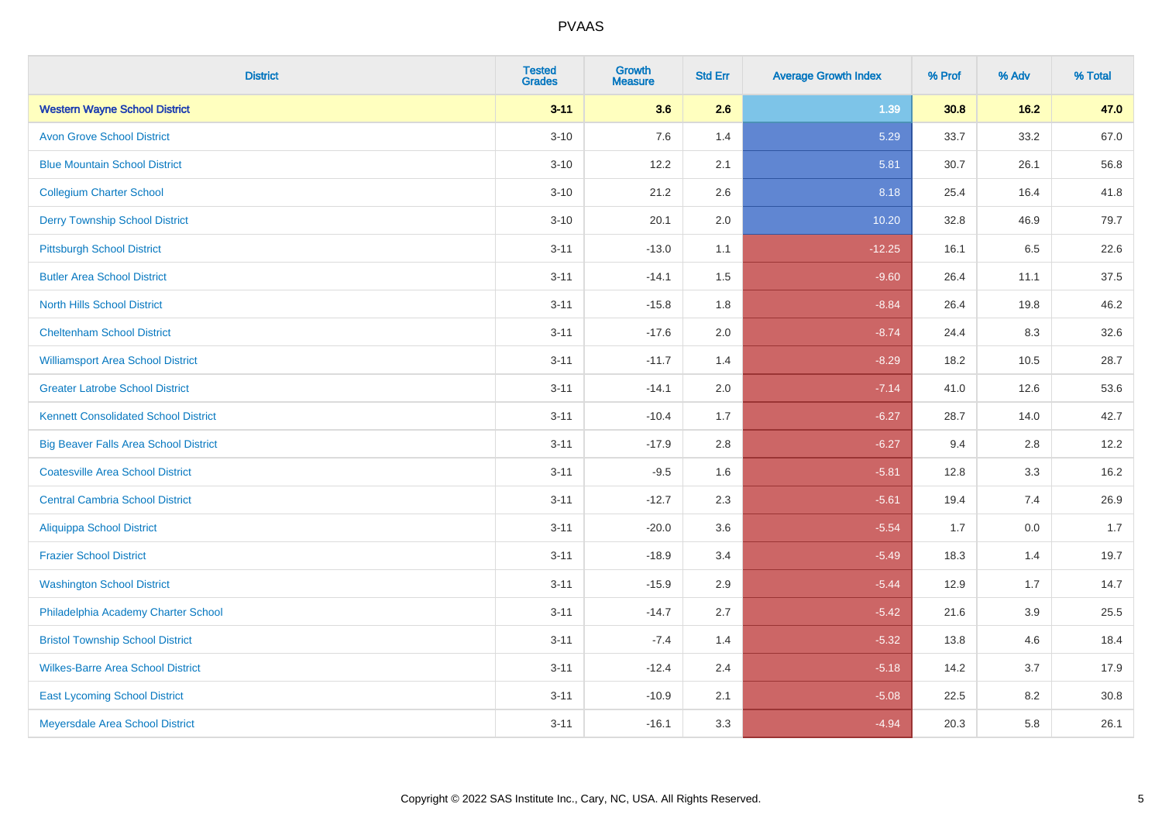| <b>District</b>                              | <b>Tested</b><br><b>Grades</b> | <b>Growth</b><br><b>Measure</b> | <b>Std Err</b> | <b>Average Growth Index</b> | % Prof | % Adv   | % Total |
|----------------------------------------------|--------------------------------|---------------------------------|----------------|-----------------------------|--------|---------|---------|
| <b>Western Wayne School District</b>         | $3 - 11$                       | 3.6                             | 2.6            | 1.39                        | 30.8   | 16.2    | 47.0    |
| <b>Avon Grove School District</b>            | $3 - 10$                       | 7.6                             | 1.4            | 5.29                        | 33.7   | 33.2    | 67.0    |
| <b>Blue Mountain School District</b>         | $3 - 10$                       | 12.2                            | 2.1            | 5.81                        | 30.7   | 26.1    | 56.8    |
| <b>Collegium Charter School</b>              | $3 - 10$                       | 21.2                            | 2.6            | 8.18                        | 25.4   | 16.4    | 41.8    |
| <b>Derry Township School District</b>        | $3 - 10$                       | 20.1                            | 2.0            | 10.20                       | 32.8   | 46.9    | 79.7    |
| <b>Pittsburgh School District</b>            | $3 - 11$                       | $-13.0$                         | 1.1            | $-12.25$                    | 16.1   | 6.5     | 22.6    |
| <b>Butler Area School District</b>           | $3 - 11$                       | $-14.1$                         | 1.5            | $-9.60$                     | 26.4   | 11.1    | 37.5    |
| <b>North Hills School District</b>           | $3 - 11$                       | $-15.8$                         | 1.8            | $-8.84$                     | 26.4   | 19.8    | 46.2    |
| <b>Cheltenham School District</b>            | $3 - 11$                       | $-17.6$                         | 2.0            | $-8.74$                     | 24.4   | 8.3     | 32.6    |
| <b>Williamsport Area School District</b>     | $3 - 11$                       | $-11.7$                         | 1.4            | $-8.29$                     | 18.2   | 10.5    | 28.7    |
| <b>Greater Latrobe School District</b>       | $3 - 11$                       | $-14.1$                         | 2.0            | $-7.14$                     | 41.0   | 12.6    | 53.6    |
| <b>Kennett Consolidated School District</b>  | $3 - 11$                       | $-10.4$                         | 1.7            | $-6.27$                     | 28.7   | 14.0    | 42.7    |
| <b>Big Beaver Falls Area School District</b> | $3 - 11$                       | $-17.9$                         | 2.8            | $-6.27$                     | 9.4    | 2.8     | 12.2    |
| <b>Coatesville Area School District</b>      | $3 - 11$                       | $-9.5$                          | 1.6            | $-5.81$                     | 12.8   | 3.3     | 16.2    |
| <b>Central Cambria School District</b>       | $3 - 11$                       | $-12.7$                         | 2.3            | $-5.61$                     | 19.4   | 7.4     | 26.9    |
| Aliquippa School District                    | $3 - 11$                       | $-20.0$                         | 3.6            | $-5.54$                     | 1.7    | $0.0\,$ | 1.7     |
| <b>Frazier School District</b>               | $3 - 11$                       | $-18.9$                         | 3.4            | $-5.49$                     | 18.3   | 1.4     | 19.7    |
| <b>Washington School District</b>            | $3 - 11$                       | $-15.9$                         | 2.9            | $-5.44$                     | 12.9   | 1.7     | 14.7    |
| Philadelphia Academy Charter School          | $3 - 11$                       | $-14.7$                         | 2.7            | $-5.42$                     | 21.6   | 3.9     | 25.5    |
| <b>Bristol Township School District</b>      | $3 - 11$                       | $-7.4$                          | 1.4            | $-5.32$                     | 13.8   | 4.6     | 18.4    |
| <b>Wilkes-Barre Area School District</b>     | $3 - 11$                       | $-12.4$                         | 2.4            | $-5.18$                     | 14.2   | 3.7     | 17.9    |
| <b>East Lycoming School District</b>         | $3 - 11$                       | $-10.9$                         | 2.1            | $-5.08$                     | 22.5   | 8.2     | 30.8    |
| Meyersdale Area School District              | $3 - 11$                       | $-16.1$                         | 3.3            | $-4.94$                     | 20.3   | 5.8     | 26.1    |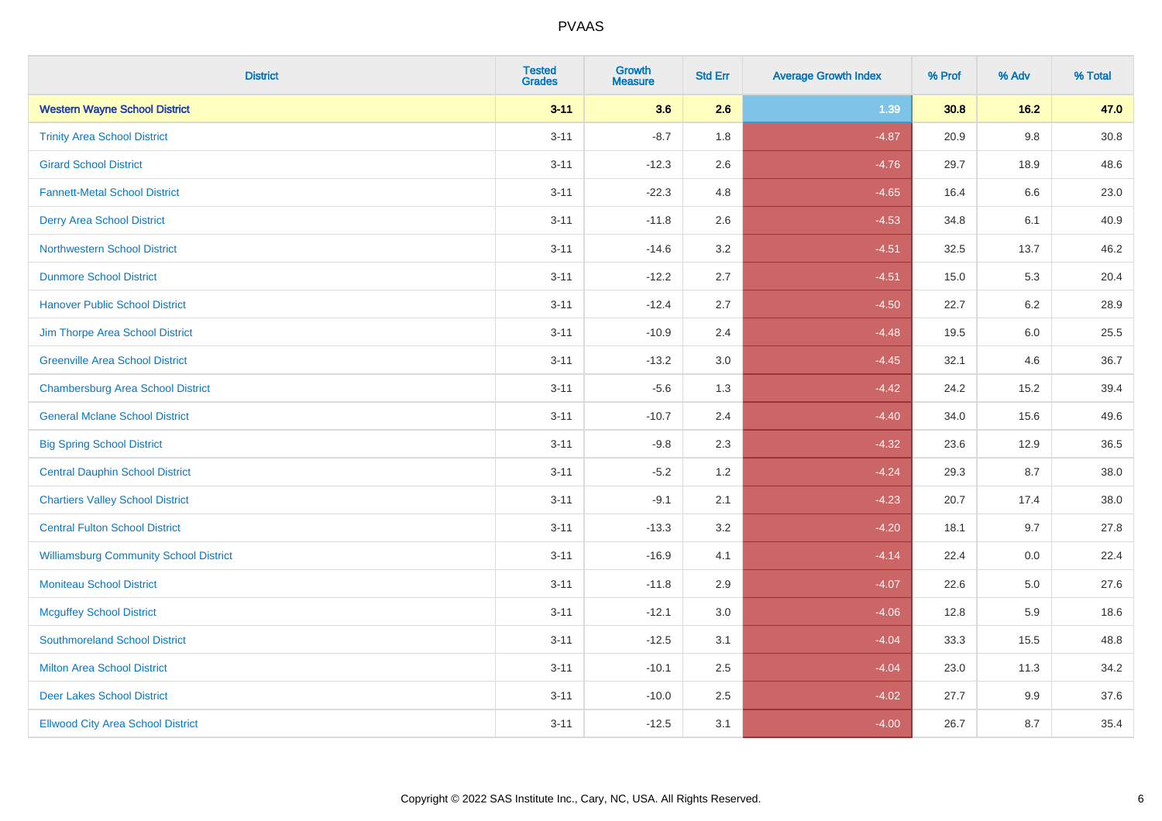| <b>District</b>                               | <b>Tested</b><br><b>Grades</b> | <b>Growth</b><br><b>Measure</b> | <b>Std Err</b> | <b>Average Growth Index</b> | % Prof | % Adv   | % Total  |
|-----------------------------------------------|--------------------------------|---------------------------------|----------------|-----------------------------|--------|---------|----------|
| <b>Western Wayne School District</b>          | $3 - 11$                       | 3.6                             | 2.6            | 1.39                        | 30.8   | 16.2    | 47.0     |
| <b>Trinity Area School District</b>           | $3 - 11$                       | $-8.7$                          | 1.8            | $-4.87$                     | 20.9   | $9.8\,$ | $30.8\,$ |
| <b>Girard School District</b>                 | $3 - 11$                       | $-12.3$                         | 2.6            | $-4.76$                     | 29.7   | 18.9    | 48.6     |
| <b>Fannett-Metal School District</b>          | $3 - 11$                       | $-22.3$                         | 4.8            | $-4.65$                     | 16.4   | 6.6     | 23.0     |
| <b>Derry Area School District</b>             | $3 - 11$                       | $-11.8$                         | 2.6            | $-4.53$                     | 34.8   | 6.1     | 40.9     |
| <b>Northwestern School District</b>           | $3 - 11$                       | $-14.6$                         | 3.2            | $-4.51$                     | 32.5   | 13.7    | 46.2     |
| <b>Dunmore School District</b>                | $3 - 11$                       | $-12.2$                         | 2.7            | $-4.51$                     | 15.0   | 5.3     | 20.4     |
| <b>Hanover Public School District</b>         | $3 - 11$                       | $-12.4$                         | 2.7            | $-4.50$                     | 22.7   | 6.2     | 28.9     |
| Jim Thorpe Area School District               | $3 - 11$                       | $-10.9$                         | 2.4            | $-4.48$                     | 19.5   | 6.0     | 25.5     |
| <b>Greenville Area School District</b>        | $3 - 11$                       | $-13.2$                         | 3.0            | $-4.45$                     | 32.1   | 4.6     | 36.7     |
| <b>Chambersburg Area School District</b>      | $3 - 11$                       | $-5.6$                          | 1.3            | $-4.42$                     | 24.2   | 15.2    | 39.4     |
| <b>General Mclane School District</b>         | $3 - 11$                       | $-10.7$                         | 2.4            | $-4.40$                     | 34.0   | 15.6    | 49.6     |
| <b>Big Spring School District</b>             | $3 - 11$                       | $-9.8$                          | 2.3            | $-4.32$                     | 23.6   | 12.9    | 36.5     |
| <b>Central Dauphin School District</b>        | $3 - 11$                       | $-5.2$                          | 1.2            | $-4.24$                     | 29.3   | 8.7     | 38.0     |
| <b>Chartiers Valley School District</b>       | $3 - 11$                       | $-9.1$                          | 2.1            | $-4.23$                     | 20.7   | 17.4    | 38.0     |
| <b>Central Fulton School District</b>         | $3 - 11$                       | $-13.3$                         | 3.2            | $-4.20$                     | 18.1   | 9.7     | 27.8     |
| <b>Williamsburg Community School District</b> | $3 - 11$                       | $-16.9$                         | 4.1            | $-4.14$                     | 22.4   | 0.0     | 22.4     |
| <b>Moniteau School District</b>               | $3 - 11$                       | $-11.8$                         | 2.9            | $-4.07$                     | 22.6   | 5.0     | 27.6     |
| <b>Mcguffey School District</b>               | $3 - 11$                       | $-12.1$                         | 3.0            | $-4.06$                     | 12.8   | 5.9     | 18.6     |
| <b>Southmoreland School District</b>          | $3 - 11$                       | $-12.5$                         | 3.1            | $-4.04$                     | 33.3   | 15.5    | 48.8     |
| <b>Milton Area School District</b>            | $3 - 11$                       | $-10.1$                         | 2.5            | $-4.04$                     | 23.0   | 11.3    | 34.2     |
| <b>Deer Lakes School District</b>             | $3 - 11$                       | $-10.0$                         | 2.5            | $-4.02$                     | 27.7   | 9.9     | 37.6     |
| <b>Ellwood City Area School District</b>      | $3 - 11$                       | $-12.5$                         | 3.1            | $-4.00$                     | 26.7   | 8.7     | 35.4     |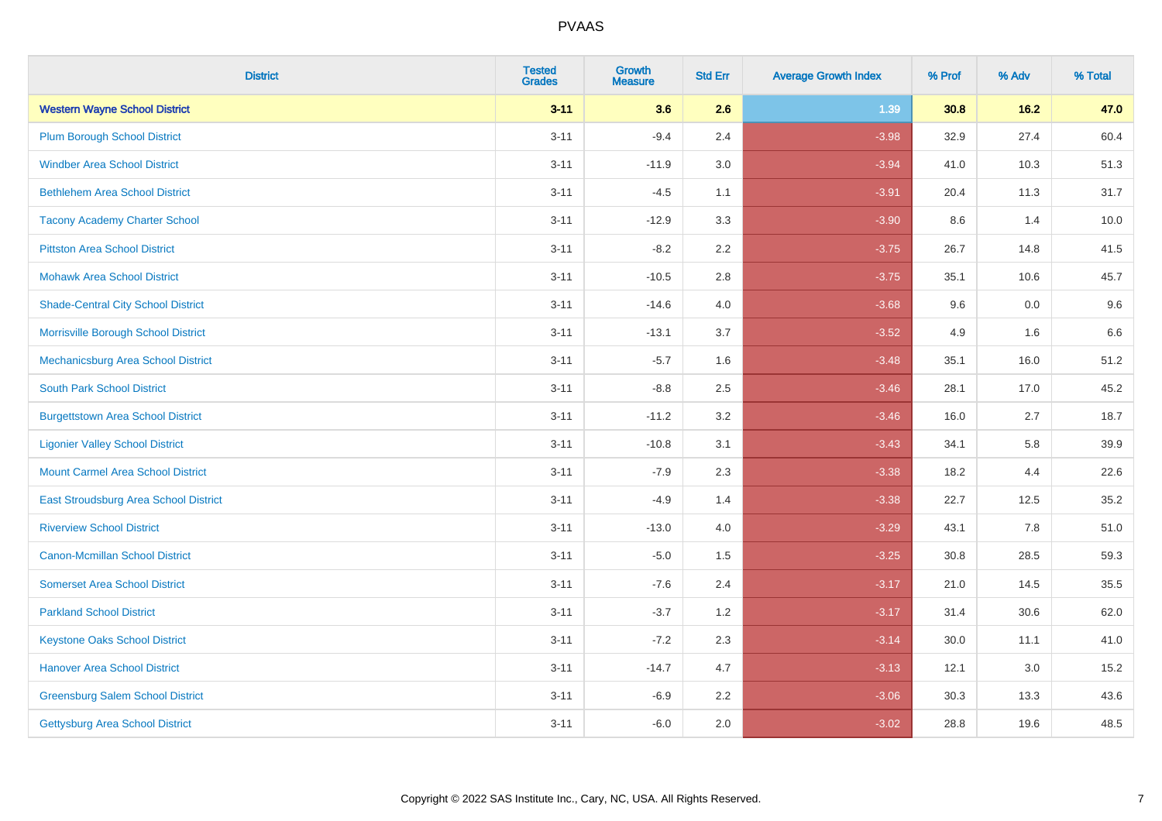| <b>District</b>                           | <b>Tested</b><br><b>Grades</b> | <b>Growth</b><br><b>Measure</b> | <b>Std Err</b> | <b>Average Growth Index</b> | % Prof | % Adv | % Total |
|-------------------------------------------|--------------------------------|---------------------------------|----------------|-----------------------------|--------|-------|---------|
| <b>Western Wayne School District</b>      | $3 - 11$                       | 3.6                             | 2.6            | 1.39                        | 30.8   | 16.2  | 47.0    |
| <b>Plum Borough School District</b>       | $3 - 11$                       | $-9.4$                          | 2.4            | $-3.98$                     | 32.9   | 27.4  | 60.4    |
| <b>Windber Area School District</b>       | $3 - 11$                       | $-11.9$                         | 3.0            | $-3.94$                     | 41.0   | 10.3  | 51.3    |
| <b>Bethlehem Area School District</b>     | $3 - 11$                       | $-4.5$                          | 1.1            | $-3.91$                     | 20.4   | 11.3  | 31.7    |
| <b>Tacony Academy Charter School</b>      | $3 - 11$                       | $-12.9$                         | 3.3            | $-3.90$                     | 8.6    | 1.4   | 10.0    |
| <b>Pittston Area School District</b>      | $3 - 11$                       | $-8.2$                          | 2.2            | $-3.75$                     | 26.7   | 14.8  | 41.5    |
| <b>Mohawk Area School District</b>        | $3 - 11$                       | $-10.5$                         | 2.8            | $-3.75$                     | 35.1   | 10.6  | 45.7    |
| <b>Shade-Central City School District</b> | $3 - 11$                       | $-14.6$                         | 4.0            | $-3.68$                     | 9.6    | 0.0   | 9.6     |
| Morrisville Borough School District       | $3 - 11$                       | $-13.1$                         | 3.7            | $-3.52$                     | 4.9    | 1.6   | 6.6     |
| Mechanicsburg Area School District        | $3 - 11$                       | $-5.7$                          | 1.6            | $-3.48$                     | 35.1   | 16.0  | 51.2    |
| <b>South Park School District</b>         | $3 - 11$                       | $-8.8$                          | 2.5            | $-3.46$                     | 28.1   | 17.0  | 45.2    |
| <b>Burgettstown Area School District</b>  | $3 - 11$                       | $-11.2$                         | 3.2            | $-3.46$                     | 16.0   | 2.7   | 18.7    |
| <b>Ligonier Valley School District</b>    | $3 - 11$                       | $-10.8$                         | 3.1            | $-3.43$                     | 34.1   | 5.8   | 39.9    |
| <b>Mount Carmel Area School District</b>  | $3 - 11$                       | $-7.9$                          | 2.3            | $-3.38$                     | 18.2   | 4.4   | 22.6    |
| East Stroudsburg Area School District     | $3 - 11$                       | $-4.9$                          | 1.4            | $-3.38$                     | 22.7   | 12.5  | 35.2    |
| <b>Riverview School District</b>          | $3 - 11$                       | $-13.0$                         | 4.0            | $-3.29$                     | 43.1   | 7.8   | 51.0    |
| <b>Canon-Mcmillan School District</b>     | $3 - 11$                       | $-5.0$                          | 1.5            | $-3.25$                     | 30.8   | 28.5  | 59.3    |
| <b>Somerset Area School District</b>      | $3 - 11$                       | $-7.6$                          | 2.4            | $-3.17$                     | 21.0   | 14.5  | 35.5    |
| <b>Parkland School District</b>           | $3 - 11$                       | $-3.7$                          | 1.2            | $-3.17$                     | 31.4   | 30.6  | 62.0    |
| <b>Keystone Oaks School District</b>      | $3 - 11$                       | $-7.2$                          | 2.3            | $-3.14$                     | 30.0   | 11.1  | 41.0    |
| <b>Hanover Area School District</b>       | $3 - 11$                       | $-14.7$                         | 4.7            | $-3.13$                     | 12.1   | 3.0   | 15.2    |
| <b>Greensburg Salem School District</b>   | $3 - 11$                       | $-6.9$                          | 2.2            | $-3.06$                     | 30.3   | 13.3  | 43.6    |
| Gettysburg Area School District           | $3 - 11$                       | $-6.0$                          | 2.0            | $-3.02$                     | 28.8   | 19.6  | 48.5    |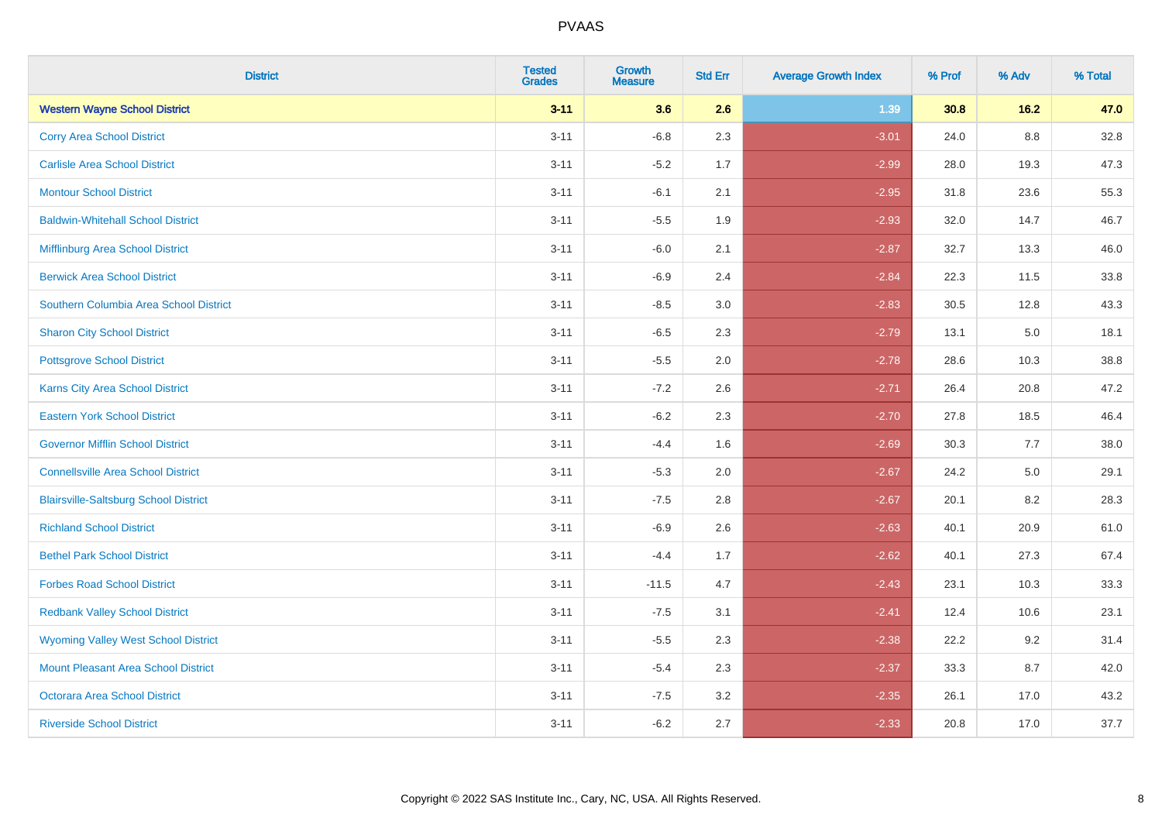| <b>District</b>                              | <b>Tested</b><br><b>Grades</b> | <b>Growth</b><br><b>Measure</b> | <b>Std Err</b> | <b>Average Growth Index</b> | % Prof | % Adv | % Total |
|----------------------------------------------|--------------------------------|---------------------------------|----------------|-----------------------------|--------|-------|---------|
| <b>Western Wayne School District</b>         | $3 - 11$                       | 3.6                             | 2.6            | 1.39                        | 30.8   | 16.2  | 47.0    |
| <b>Corry Area School District</b>            | $3 - 11$                       | $-6.8$                          | 2.3            | $-3.01$                     | 24.0   | 8.8   | 32.8    |
| <b>Carlisle Area School District</b>         | $3 - 11$                       | $-5.2$                          | 1.7            | $-2.99$                     | 28.0   | 19.3  | 47.3    |
| <b>Montour School District</b>               | $3 - 11$                       | $-6.1$                          | 2.1            | $-2.95$                     | 31.8   | 23.6  | 55.3    |
| <b>Baldwin-Whitehall School District</b>     | $3 - 11$                       | $-5.5$                          | 1.9            | $-2.93$                     | 32.0   | 14.7  | 46.7    |
| Mifflinburg Area School District             | $3 - 11$                       | $-6.0$                          | 2.1            | $-2.87$                     | 32.7   | 13.3  | 46.0    |
| <b>Berwick Area School District</b>          | $3 - 11$                       | $-6.9$                          | 2.4            | $-2.84$                     | 22.3   | 11.5  | 33.8    |
| Southern Columbia Area School District       | $3 - 11$                       | $-8.5$                          | 3.0            | $-2.83$                     | 30.5   | 12.8  | 43.3    |
| <b>Sharon City School District</b>           | $3 - 11$                       | $-6.5$                          | 2.3            | $-2.79$                     | 13.1   | 5.0   | 18.1    |
| <b>Pottsgrove School District</b>            | $3 - 11$                       | $-5.5$                          | 2.0            | $-2.78$                     | 28.6   | 10.3  | 38.8    |
| Karns City Area School District              | $3 - 11$                       | $-7.2$                          | 2.6            | $-2.71$                     | 26.4   | 20.8  | 47.2    |
| <b>Eastern York School District</b>          | $3 - 11$                       | $-6.2$                          | 2.3            | $-2.70$                     | 27.8   | 18.5  | 46.4    |
| <b>Governor Mifflin School District</b>      | $3 - 11$                       | $-4.4$                          | 1.6            | $-2.69$                     | 30.3   | 7.7   | 38.0    |
| <b>Connellsville Area School District</b>    | $3 - 11$                       | $-5.3$                          | 2.0            | $-2.67$                     | 24.2   | 5.0   | 29.1    |
| <b>Blairsville-Saltsburg School District</b> | $3 - 11$                       | $-7.5$                          | 2.8            | $-2.67$                     | 20.1   | 8.2   | 28.3    |
| <b>Richland School District</b>              | $3 - 11$                       | $-6.9$                          | 2.6            | $-2.63$                     | 40.1   | 20.9  | 61.0    |
| <b>Bethel Park School District</b>           | $3 - 11$                       | $-4.4$                          | 1.7            | $-2.62$                     | 40.1   | 27.3  | 67.4    |
| <b>Forbes Road School District</b>           | $3 - 11$                       | $-11.5$                         | 4.7            | $-2.43$                     | 23.1   | 10.3  | 33.3    |
| <b>Redbank Valley School District</b>        | $3 - 11$                       | $-7.5$                          | 3.1            | $-2.41$                     | 12.4   | 10.6  | 23.1    |
| <b>Wyoming Valley West School District</b>   | $3 - 11$                       | $-5.5$                          | 2.3            | $-2.38$                     | 22.2   | 9.2   | 31.4    |
| Mount Pleasant Area School District          | $3 - 11$                       | $-5.4$                          | 2.3            | $-2.37$                     | 33.3   | 8.7   | 42.0    |
| <b>Octorara Area School District</b>         | $3 - 11$                       | $-7.5$                          | 3.2            | $-2.35$                     | 26.1   | 17.0  | 43.2    |
| <b>Riverside School District</b>             | $3 - 11$                       | $-6.2$                          | 2.7            | $-2.33$                     | 20.8   | 17.0  | 37.7    |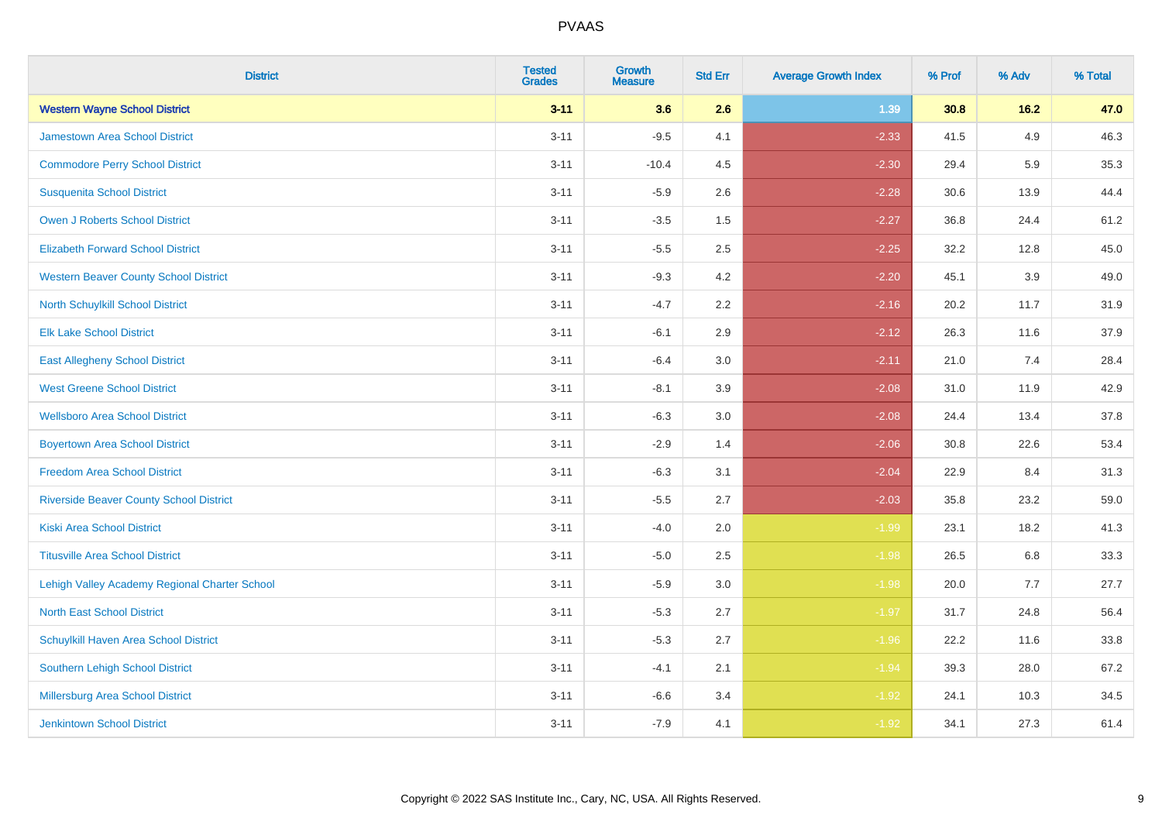| <b>District</b>                                | <b>Tested</b><br><b>Grades</b> | <b>Growth</b><br><b>Measure</b> | <b>Std Err</b> | <b>Average Growth Index</b> | % Prof | % Adv | % Total |
|------------------------------------------------|--------------------------------|---------------------------------|----------------|-----------------------------|--------|-------|---------|
| <b>Western Wayne School District</b>           | $3 - 11$                       | 3.6                             | 2.6            | 1.39                        | 30.8   | 16.2  | 47.0    |
| <b>Jamestown Area School District</b>          | $3 - 11$                       | $-9.5$                          | 4.1            | $-2.33$                     | 41.5   | 4.9   | 46.3    |
| <b>Commodore Perry School District</b>         | $3 - 11$                       | $-10.4$                         | 4.5            | $-2.30$                     | 29.4   | 5.9   | 35.3    |
| <b>Susquenita School District</b>              | $3 - 11$                       | $-5.9$                          | 2.6            | $-2.28$                     | 30.6   | 13.9  | 44.4    |
| <b>Owen J Roberts School District</b>          | $3 - 11$                       | $-3.5$                          | 1.5            | $-2.27$                     | 36.8   | 24.4  | 61.2    |
| <b>Elizabeth Forward School District</b>       | $3 - 11$                       | $-5.5$                          | 2.5            | $-2.25$                     | 32.2   | 12.8  | 45.0    |
| <b>Western Beaver County School District</b>   | $3 - 11$                       | $-9.3$                          | 4.2            | $-2.20$                     | 45.1   | 3.9   | 49.0    |
| North Schuylkill School District               | $3 - 11$                       | $-4.7$                          | 2.2            | $-2.16$                     | 20.2   | 11.7  | 31.9    |
| <b>Elk Lake School District</b>                | $3 - 11$                       | $-6.1$                          | 2.9            | $-2.12$                     | 26.3   | 11.6  | 37.9    |
| <b>East Allegheny School District</b>          | $3 - 11$                       | $-6.4$                          | 3.0            | $-2.11$                     | 21.0   | 7.4   | 28.4    |
| <b>West Greene School District</b>             | $3 - 11$                       | $-8.1$                          | 3.9            | $-2.08$                     | 31.0   | 11.9  | 42.9    |
| <b>Wellsboro Area School District</b>          | $3 - 11$                       | $-6.3$                          | 3.0            | $-2.08$                     | 24.4   | 13.4  | 37.8    |
| <b>Boyertown Area School District</b>          | $3 - 11$                       | $-2.9$                          | 1.4            | $-2.06$                     | 30.8   | 22.6  | 53.4    |
| <b>Freedom Area School District</b>            | $3 - 11$                       | $-6.3$                          | 3.1            | $-2.04$                     | 22.9   | 8.4   | 31.3    |
| <b>Riverside Beaver County School District</b> | $3 - 11$                       | $-5.5$                          | 2.7            | $-2.03$                     | 35.8   | 23.2  | 59.0    |
| <b>Kiski Area School District</b>              | $3 - 11$                       | $-4.0$                          | 2.0            | $-1.99$                     | 23.1   | 18.2  | 41.3    |
| <b>Titusville Area School District</b>         | $3 - 11$                       | $-5.0$                          | 2.5            | $-1.98$                     | 26.5   | 6.8   | 33.3    |
| Lehigh Valley Academy Regional Charter School  | $3 - 11$                       | $-5.9$                          | 3.0            | $-1.98$                     | 20.0   | 7.7   | 27.7    |
| <b>North East School District</b>              | $3 - 11$                       | $-5.3$                          | 2.7            | $-1.97$                     | 31.7   | 24.8  | 56.4    |
| Schuylkill Haven Area School District          | $3 - 11$                       | $-5.3$                          | 2.7            | $-1.96$                     | 22.2   | 11.6  | 33.8    |
| Southern Lehigh School District                | $3 - 11$                       | $-4.1$                          | 2.1            | $-1.94$                     | 39.3   | 28.0  | 67.2    |
| Millersburg Area School District               | $3 - 11$                       | $-6.6$                          | 3.4            | $-1.92$                     | 24.1   | 10.3  | 34.5    |
| <b>Jenkintown School District</b>              | $3 - 11$                       | $-7.9$                          | 4.1            | $-1.92$                     | 34.1   | 27.3  | 61.4    |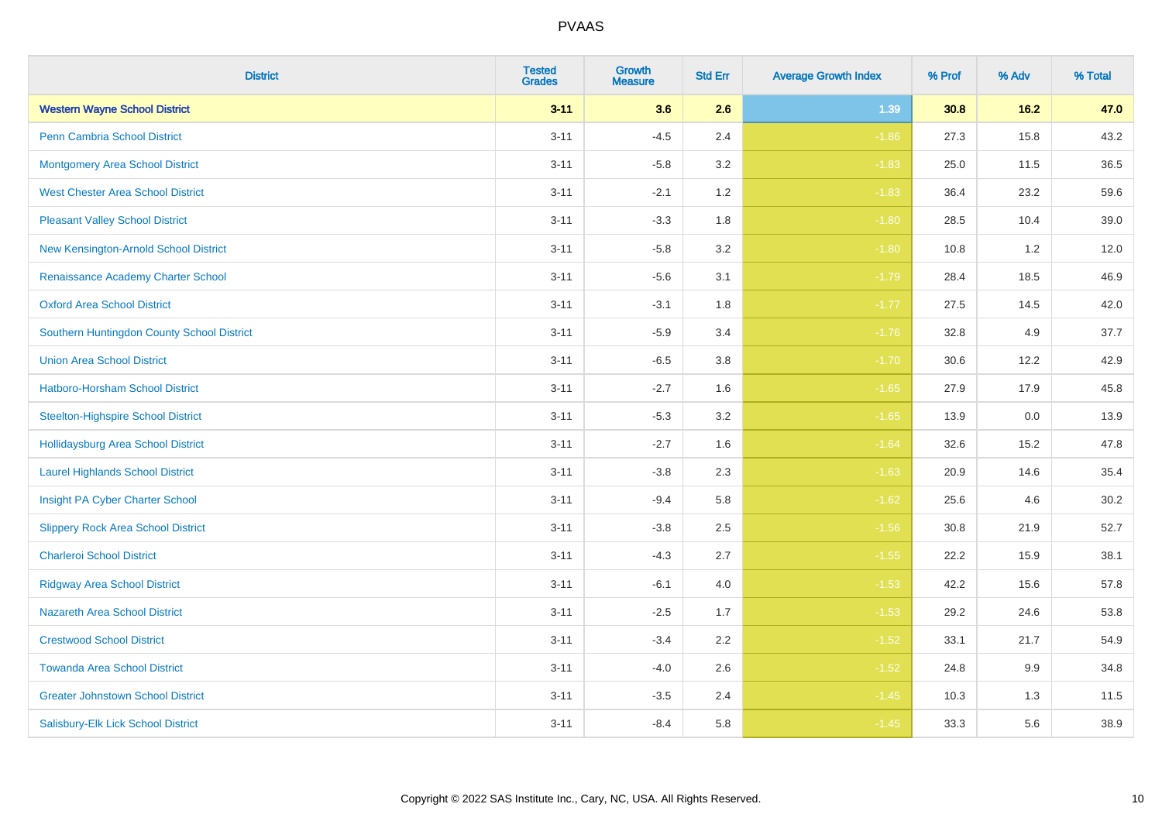| <b>District</b>                            | <b>Tested</b><br><b>Grades</b> | <b>Growth</b><br><b>Measure</b> | <b>Std Err</b> | <b>Average Growth Index</b> | % Prof | % Adv | % Total |
|--------------------------------------------|--------------------------------|---------------------------------|----------------|-----------------------------|--------|-------|---------|
| <b>Western Wayne School District</b>       | $3 - 11$                       | 3.6                             | 2.6            | 1.39                        | 30.8   | 16.2  | 47.0    |
| <b>Penn Cambria School District</b>        | $3 - 11$                       | $-4.5$                          | 2.4            | $-1.86$                     | 27.3   | 15.8  | 43.2    |
| <b>Montgomery Area School District</b>     | $3 - 11$                       | $-5.8$                          | 3.2            | $-1.83$                     | 25.0   | 11.5  | 36.5    |
| <b>West Chester Area School District</b>   | $3 - 11$                       | $-2.1$                          | 1.2            | $-1.83$                     | 36.4   | 23.2  | 59.6    |
| <b>Pleasant Valley School District</b>     | $3 - 11$                       | $-3.3$                          | 1.8            | $-1.80$                     | 28.5   | 10.4  | 39.0    |
| New Kensington-Arnold School District      | $3 - 11$                       | $-5.8$                          | 3.2            | $-1.80$                     | 10.8   | 1.2   | 12.0    |
| Renaissance Academy Charter School         | $3 - 11$                       | $-5.6$                          | 3.1            | $-1.79$                     | 28.4   | 18.5  | 46.9    |
| <b>Oxford Area School District</b>         | $3 - 11$                       | $-3.1$                          | 1.8            | $-1.77$                     | 27.5   | 14.5  | 42.0    |
| Southern Huntingdon County School District | $3 - 11$                       | $-5.9$                          | 3.4            | $-1.76$                     | 32.8   | 4.9   | 37.7    |
| <b>Union Area School District</b>          | $3 - 11$                       | $-6.5$                          | 3.8            | $-1.70$                     | 30.6   | 12.2  | 42.9    |
| Hatboro-Horsham School District            | $3 - 11$                       | $-2.7$                          | 1.6            | $-1.65$                     | 27.9   | 17.9  | 45.8    |
| <b>Steelton-Highspire School District</b>  | $3 - 11$                       | $-5.3$                          | 3.2            | $-1.65$                     | 13.9   | 0.0   | 13.9    |
| <b>Hollidaysburg Area School District</b>  | $3 - 11$                       | $-2.7$                          | 1.6            | $-1.64$                     | 32.6   | 15.2  | 47.8    |
| <b>Laurel Highlands School District</b>    | $3 - 11$                       | $-3.8$                          | 2.3            | $-1.63$                     | 20.9   | 14.6  | 35.4    |
| Insight PA Cyber Charter School            | $3 - 11$                       | $-9.4$                          | 5.8            | $-1.62$                     | 25.6   | 4.6   | 30.2    |
| <b>Slippery Rock Area School District</b>  | $3 - 11$                       | $-3.8$                          | 2.5            | $-1.56$                     | 30.8   | 21.9  | 52.7    |
| <b>Charleroi School District</b>           | $3 - 11$                       | $-4.3$                          | 2.7            | $-1.55$                     | 22.2   | 15.9  | 38.1    |
| <b>Ridgway Area School District</b>        | $3 - 11$                       | $-6.1$                          | 4.0            | $-1.53$                     | 42.2   | 15.6  | 57.8    |
| <b>Nazareth Area School District</b>       | $3 - 11$                       | $-2.5$                          | 1.7            | $-1.53$                     | 29.2   | 24.6  | 53.8    |
| <b>Crestwood School District</b>           | $3 - 11$                       | $-3.4$                          | 2.2            | $-1.52$                     | 33.1   | 21.7  | 54.9    |
| <b>Towanda Area School District</b>        | $3 - 11$                       | $-4.0$                          | 2.6            | $-1.52$                     | 24.8   | 9.9   | 34.8    |
| <b>Greater Johnstown School District</b>   | $3 - 11$                       | $-3.5$                          | 2.4            | $-1.45$                     | 10.3   | 1.3   | 11.5    |
| Salisbury-Elk Lick School District         | $3 - 11$                       | $-8.4$                          | 5.8            | $-1.45$                     | 33.3   | 5.6   | 38.9    |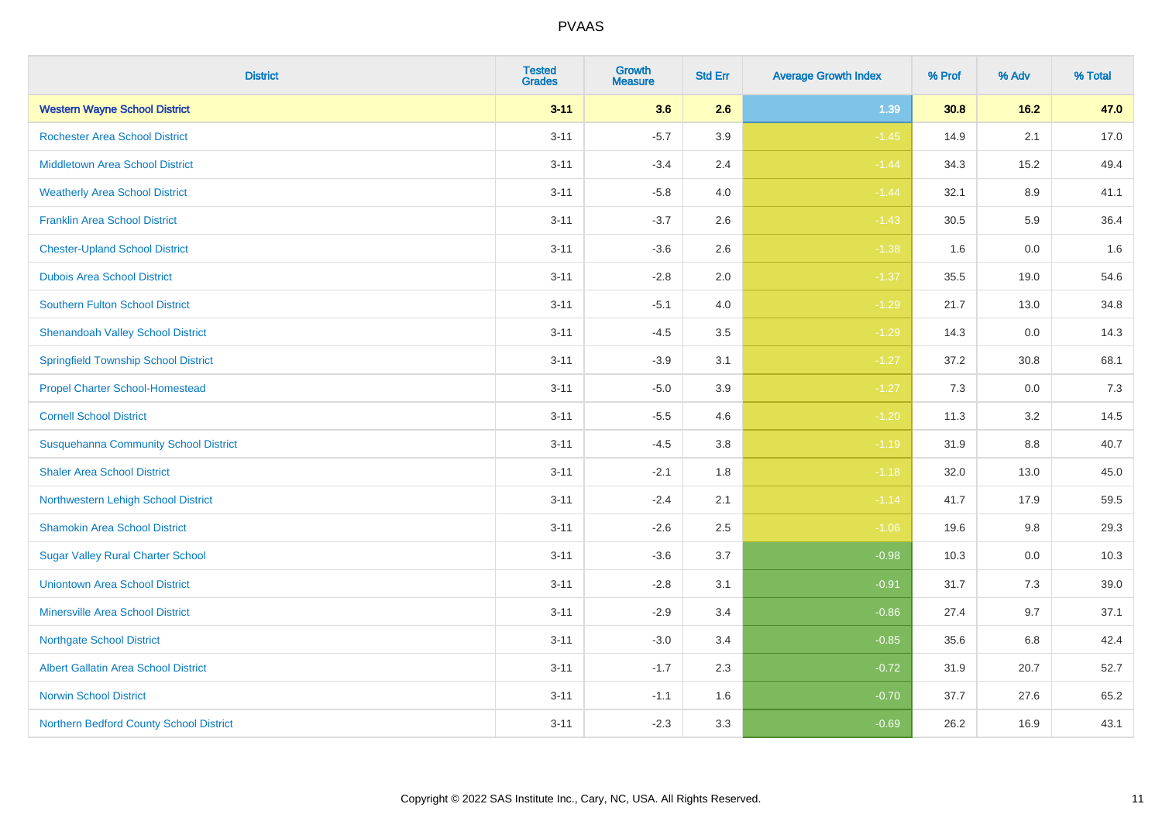| <b>District</b>                              | <b>Tested</b><br><b>Grades</b> | <b>Growth</b><br><b>Measure</b> | <b>Std Err</b> | <b>Average Growth Index</b> | % Prof | % Adv   | % Total |
|----------------------------------------------|--------------------------------|---------------------------------|----------------|-----------------------------|--------|---------|---------|
| <b>Western Wayne School District</b>         | $3 - 11$                       | 3.6                             | 2.6            | 1.39                        | 30.8   | 16.2    | 47.0    |
| <b>Rochester Area School District</b>        | $3 - 11$                       | $-5.7$                          | 3.9            | $-1.45$                     | 14.9   | 2.1     | 17.0    |
| <b>Middletown Area School District</b>       | $3 - 11$                       | $-3.4$                          | 2.4            | $-1.44$                     | 34.3   | 15.2    | 49.4    |
| <b>Weatherly Area School District</b>        | $3 - 11$                       | $-5.8$                          | 4.0            | $-1.44$                     | 32.1   | 8.9     | 41.1    |
| <b>Franklin Area School District</b>         | $3 - 11$                       | $-3.7$                          | 2.6            | $-1.43$                     | 30.5   | 5.9     | 36.4    |
| <b>Chester-Upland School District</b>        | $3 - 11$                       | $-3.6$                          | 2.6            | $-1.38$                     | 1.6    | 0.0     | 1.6     |
| <b>Dubois Area School District</b>           | $3 - 11$                       | $-2.8$                          | 2.0            | $-1.37$                     | 35.5   | 19.0    | 54.6    |
| <b>Southern Fulton School District</b>       | $3 - 11$                       | $-5.1$                          | 4.0            | $-1.29$                     | 21.7   | 13.0    | 34.8    |
| <b>Shenandoah Valley School District</b>     | $3 - 11$                       | $-4.5$                          | 3.5            | $-1.29$                     | 14.3   | 0.0     | 14.3    |
| <b>Springfield Township School District</b>  | $3 - 11$                       | $-3.9$                          | 3.1            | $-1.27$                     | 37.2   | 30.8    | 68.1    |
| <b>Propel Charter School-Homestead</b>       | $3 - 11$                       | $-5.0$                          | 3.9            | $-1.27$                     | 7.3    | 0.0     | 7.3     |
| <b>Cornell School District</b>               | $3 - 11$                       | $-5.5$                          | 4.6            | $-1.20$                     | 11.3   | 3.2     | 14.5    |
| <b>Susquehanna Community School District</b> | $3 - 11$                       | $-4.5$                          | $3.8\,$        | $-1.19$                     | 31.9   | $8.8\,$ | 40.7    |
| <b>Shaler Area School District</b>           | $3 - 11$                       | $-2.1$                          | 1.8            | $-1.18$                     | 32.0   | 13.0    | 45.0    |
| Northwestern Lehigh School District          | $3 - 11$                       | $-2.4$                          | 2.1            | $-1.14$                     | 41.7   | 17.9    | 59.5    |
| <b>Shamokin Area School District</b>         | $3 - 11$                       | $-2.6$                          | 2.5            | $-1.06$                     | 19.6   | $9.8\,$ | 29.3    |
| <b>Sugar Valley Rural Charter School</b>     | $3 - 11$                       | $-3.6$                          | 3.7            | $-0.98$                     | 10.3   | 0.0     | 10.3    |
| <b>Uniontown Area School District</b>        | $3 - 11$                       | $-2.8$                          | 3.1            | $-0.91$                     | 31.7   | 7.3     | 39.0    |
| <b>Minersville Area School District</b>      | $3 - 11$                       | $-2.9$                          | 3.4            | $-0.86$                     | 27.4   | 9.7     | 37.1    |
| <b>Northgate School District</b>             | $3 - 11$                       | $-3.0$                          | 3.4            | $-0.85$                     | 35.6   | 6.8     | 42.4    |
| Albert Gallatin Area School District         | $3 - 11$                       | $-1.7$                          | 2.3            | $-0.72$                     | 31.9   | 20.7    | 52.7    |
| <b>Norwin School District</b>                | $3 - 11$                       | $-1.1$                          | 1.6            | $-0.70$                     | 37.7   | 27.6    | 65.2    |
| Northern Bedford County School District      | $3 - 11$                       | $-2.3$                          | 3.3            | $-0.69$                     | 26.2   | 16.9    | 43.1    |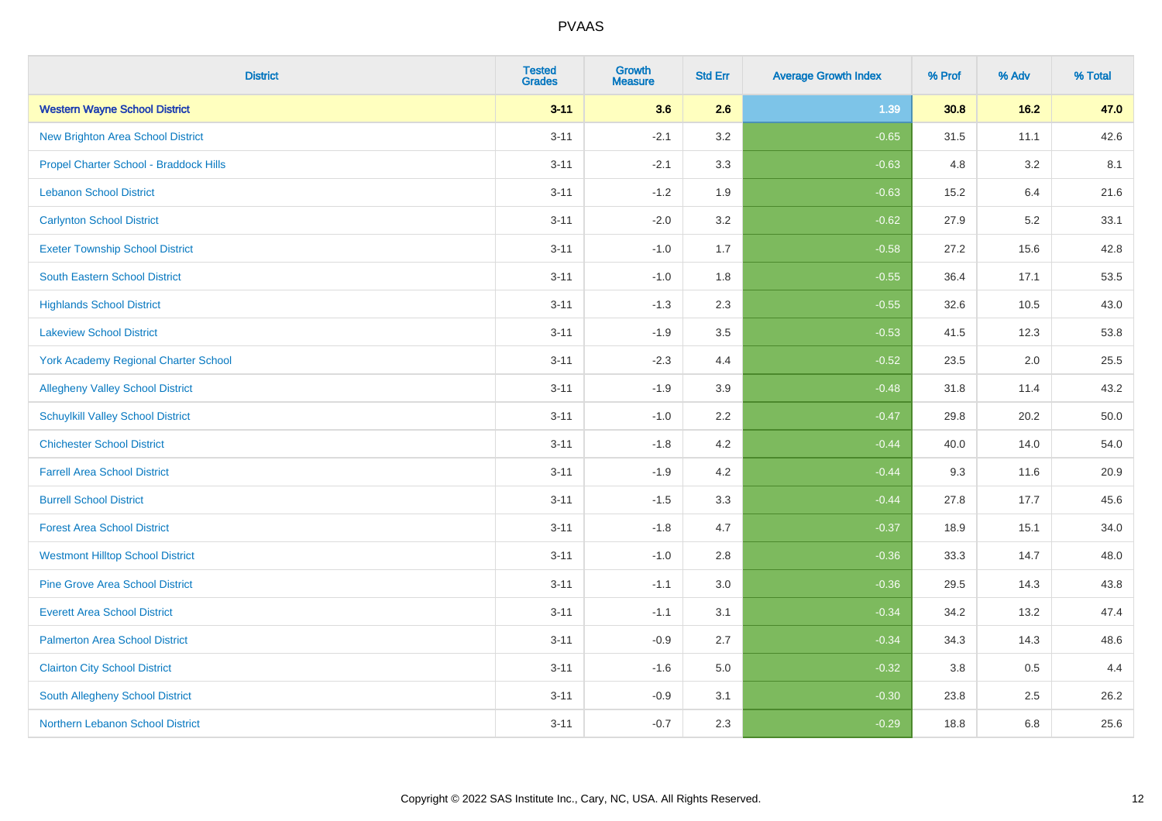| <b>District</b>                             | <b>Tested</b><br><b>Grades</b> | <b>Growth</b><br><b>Measure</b> | <b>Std Err</b> | <b>Average Growth Index</b> | % Prof | % Adv | % Total |
|---------------------------------------------|--------------------------------|---------------------------------|----------------|-----------------------------|--------|-------|---------|
| <b>Western Wayne School District</b>        | $3 - 11$                       | 3.6                             | 2.6            | 1.39                        | 30.8   | 16.2  | 47.0    |
| <b>New Brighton Area School District</b>    | $3 - 11$                       | $-2.1$                          | 3.2            | $-0.65$                     | 31.5   | 11.1  | 42.6    |
| Propel Charter School - Braddock Hills      | $3 - 11$                       | $-2.1$                          | 3.3            | $-0.63$                     | 4.8    | 3.2   | 8.1     |
| <b>Lebanon School District</b>              | $3 - 11$                       | $-1.2$                          | 1.9            | $-0.63$                     | 15.2   | 6.4   | 21.6    |
| <b>Carlynton School District</b>            | $3 - 11$                       | $-2.0$                          | 3.2            | $-0.62$                     | 27.9   | 5.2   | 33.1    |
| <b>Exeter Township School District</b>      | $3 - 11$                       | $-1.0$                          | 1.7            | $-0.58$                     | 27.2   | 15.6  | 42.8    |
| South Eastern School District               | $3 - 11$                       | $-1.0$                          | 1.8            | $-0.55$                     | 36.4   | 17.1  | 53.5    |
| <b>Highlands School District</b>            | $3 - 11$                       | $-1.3$                          | 2.3            | $-0.55$                     | 32.6   | 10.5  | 43.0    |
| <b>Lakeview School District</b>             | $3 - 11$                       | $-1.9$                          | 3.5            | $-0.53$                     | 41.5   | 12.3  | 53.8    |
| <b>York Academy Regional Charter School</b> | $3 - 11$                       | $-2.3$                          | 4.4            | $-0.52$                     | 23.5   | 2.0   | 25.5    |
| <b>Allegheny Valley School District</b>     | $3 - 11$                       | $-1.9$                          | 3.9            | $-0.48$                     | 31.8   | 11.4  | 43.2    |
| <b>Schuylkill Valley School District</b>    | $3 - 11$                       | $-1.0$                          | 2.2            | $-0.47$                     | 29.8   | 20.2  | 50.0    |
| <b>Chichester School District</b>           | $3 - 11$                       | $-1.8$                          | 4.2            | $-0.44$                     | 40.0   | 14.0  | 54.0    |
| <b>Farrell Area School District</b>         | $3 - 11$                       | $-1.9$                          | 4.2            | $-0.44$                     | 9.3    | 11.6  | 20.9    |
| <b>Burrell School District</b>              | $3 - 11$                       | $-1.5$                          | 3.3            | $-0.44$                     | 27.8   | 17.7  | 45.6    |
| <b>Forest Area School District</b>          | $3 - 11$                       | $-1.8$                          | 4.7            | $-0.37$                     | 18.9   | 15.1  | 34.0    |
| <b>Westmont Hilltop School District</b>     | $3 - 11$                       | $-1.0$                          | 2.8            | $-0.36$                     | 33.3   | 14.7  | 48.0    |
| <b>Pine Grove Area School District</b>      | $3 - 11$                       | $-1.1$                          | 3.0            | $-0.36$                     | 29.5   | 14.3  | 43.8    |
| <b>Everett Area School District</b>         | $3 - 11$                       | $-1.1$                          | 3.1            | $-0.34$                     | 34.2   | 13.2  | 47.4    |
| <b>Palmerton Area School District</b>       | $3 - 11$                       | $-0.9$                          | 2.7            | $-0.34$                     | 34.3   | 14.3  | 48.6    |
| <b>Clairton City School District</b>        | $3 - 11$                       | $-1.6$                          | 5.0            | $-0.32$                     | 3.8    | 0.5   | 4.4     |
| South Allegheny School District             | $3 - 11$                       | $-0.9$                          | 3.1            | $-0.30$                     | 23.8   | 2.5   | 26.2    |
| <b>Northern Lebanon School District</b>     | $3 - 11$                       | $-0.7$                          | 2.3            | $-0.29$                     | 18.8   | 6.8   | 25.6    |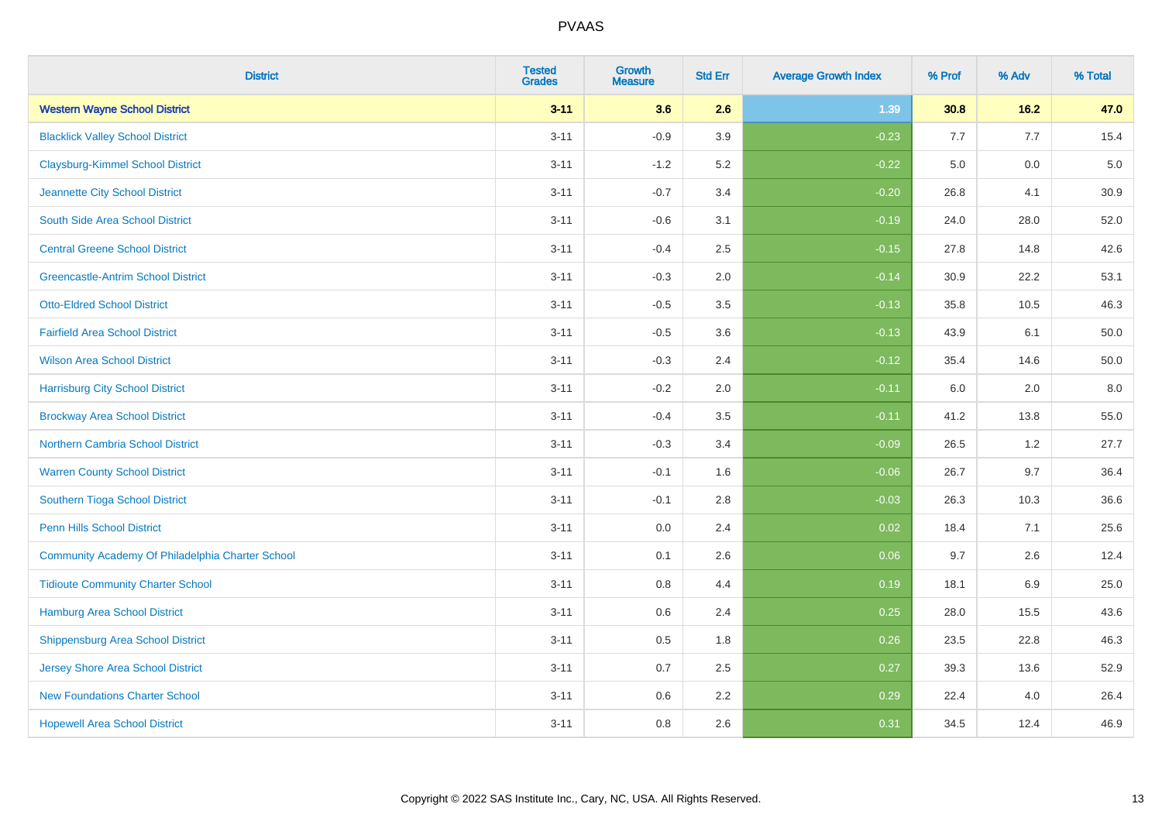| <b>District</b>                                  | <b>Tested</b><br><b>Grades</b> | <b>Growth</b><br><b>Measure</b> | <b>Std Err</b> | <b>Average Growth Index</b> | % Prof | % Adv | % Total |
|--------------------------------------------------|--------------------------------|---------------------------------|----------------|-----------------------------|--------|-------|---------|
| <b>Western Wayne School District</b>             | $3 - 11$                       | 3.6                             | 2.6            | 1.39                        | 30.8   | 16.2  | 47.0    |
| <b>Blacklick Valley School District</b>          | $3 - 11$                       | $-0.9$                          | 3.9            | $-0.23$                     | 7.7    | 7.7   | 15.4    |
| <b>Claysburg-Kimmel School District</b>          | $3 - 11$                       | $-1.2$                          | 5.2            | $-0.22$                     | 5.0    | 0.0   | $5.0$   |
| Jeannette City School District                   | $3 - 11$                       | $-0.7$                          | 3.4            | $-0.20$                     | 26.8   | 4.1   | 30.9    |
| South Side Area School District                  | $3 - 11$                       | $-0.6$                          | 3.1            | $-0.19$                     | 24.0   | 28.0  | 52.0    |
| <b>Central Greene School District</b>            | $3 - 11$                       | $-0.4$                          | 2.5            | $-0.15$                     | 27.8   | 14.8  | 42.6    |
| <b>Greencastle-Antrim School District</b>        | $3 - 11$                       | $-0.3$                          | 2.0            | $-0.14$                     | 30.9   | 22.2  | 53.1    |
| <b>Otto-Eldred School District</b>               | $3 - 11$                       | $-0.5$                          | 3.5            | $-0.13$                     | 35.8   | 10.5  | 46.3    |
| <b>Fairfield Area School District</b>            | $3 - 11$                       | $-0.5$                          | 3.6            | $-0.13$                     | 43.9   | 6.1   | 50.0    |
| <b>Wilson Area School District</b>               | $3 - 11$                       | $-0.3$                          | 2.4            | $-0.12$                     | 35.4   | 14.6  | 50.0    |
| <b>Harrisburg City School District</b>           | $3 - 11$                       | $-0.2$                          | 2.0            | $-0.11$                     | 6.0    | 2.0   | 8.0     |
| <b>Brockway Area School District</b>             | $3 - 11$                       | $-0.4$                          | 3.5            | $-0.11$                     | 41.2   | 13.8  | 55.0    |
| Northern Cambria School District                 | $3 - 11$                       | $-0.3$                          | 3.4            | $-0.09$                     | 26.5   | 1.2   | 27.7    |
| <b>Warren County School District</b>             | $3 - 11$                       | $-0.1$                          | 1.6            | $-0.06$                     | 26.7   | 9.7   | 36.4    |
| Southern Tioga School District                   | $3 - 11$                       | $-0.1$                          | 2.8            | $-0.03$                     | 26.3   | 10.3  | 36.6    |
| Penn Hills School District                       | $3 - 11$                       | 0.0                             | 2.4            | 0.02                        | 18.4   | 7.1   | 25.6    |
| Community Academy Of Philadelphia Charter School | $3 - 11$                       | 0.1                             | 2.6            | 0.06                        | 9.7    | 2.6   | 12.4    |
| <b>Tidioute Community Charter School</b>         | $3 - 11$                       | 0.8                             | 4.4            | 0.19                        | 18.1   | 6.9   | 25.0    |
| Hamburg Area School District                     | $3 - 11$                       | 0.6                             | 2.4            | 0.25                        | 28.0   | 15.5  | 43.6    |
| <b>Shippensburg Area School District</b>         | $3 - 11$                       | 0.5                             | 1.8            | 0.26                        | 23.5   | 22.8  | 46.3    |
| Jersey Shore Area School District                | $3 - 11$                       | 0.7                             | 2.5            | 0.27                        | 39.3   | 13.6  | 52.9    |
| <b>New Foundations Charter School</b>            | $3 - 11$                       | 0.6                             | 2.2            | 0.29                        | 22.4   | 4.0   | 26.4    |
| <b>Hopewell Area School District</b>             | $3 - 11$                       | 0.8                             | 2.6            | 0.31                        | 34.5   | 12.4  | 46.9    |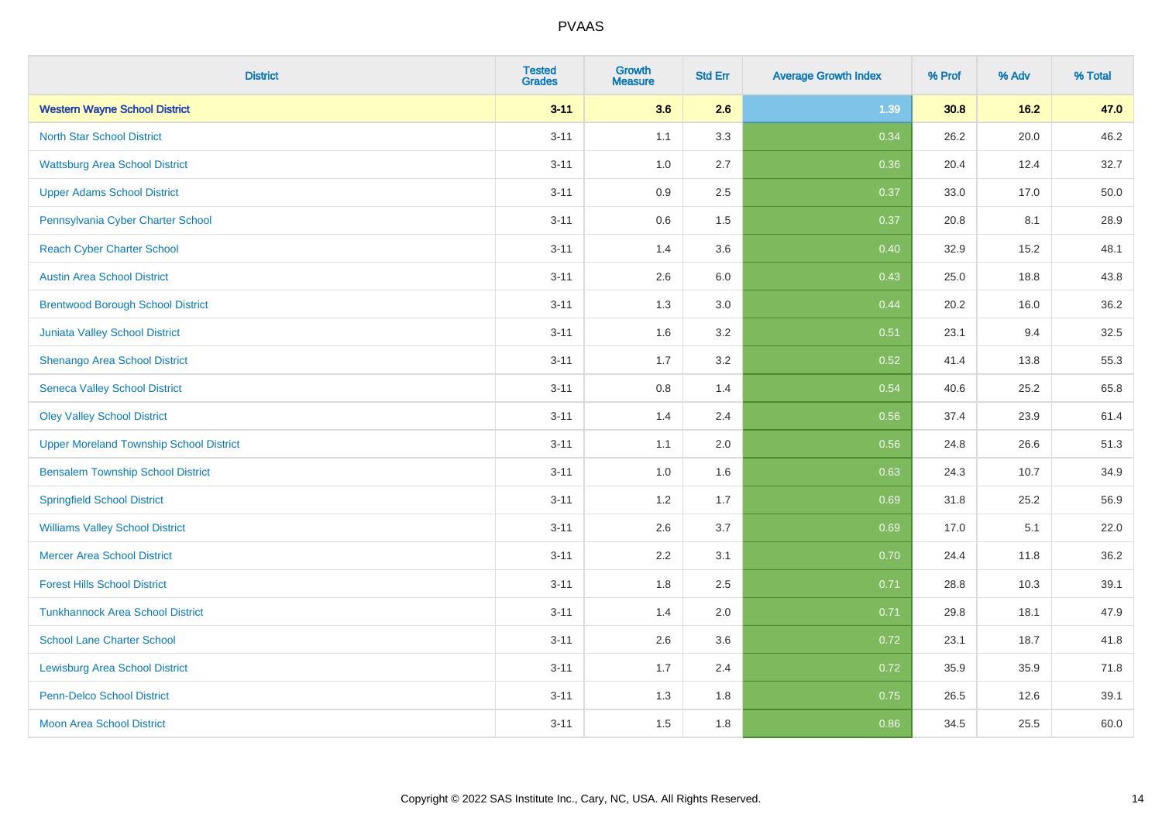| <b>District</b>                                | <b>Tested</b><br><b>Grades</b> | <b>Growth</b><br><b>Measure</b> | <b>Std Err</b> | <b>Average Growth Index</b> | % Prof | % Adv | % Total |
|------------------------------------------------|--------------------------------|---------------------------------|----------------|-----------------------------|--------|-------|---------|
| <b>Western Wayne School District</b>           | $3 - 11$                       | 3.6                             | 2.6            | 1.39                        | 30.8   | 16.2  | 47.0    |
| <b>North Star School District</b>              | $3 - 11$                       | 1.1                             | 3.3            | 0.34                        | 26.2   | 20.0  | 46.2    |
| <b>Wattsburg Area School District</b>          | $3 - 11$                       | 1.0                             | 2.7            | 0.36                        | 20.4   | 12.4  | 32.7    |
| <b>Upper Adams School District</b>             | $3 - 11$                       | 0.9                             | 2.5            | 0.37                        | 33.0   | 17.0  | 50.0    |
| Pennsylvania Cyber Charter School              | $3 - 11$                       | 0.6                             | 1.5            | 0.37                        | 20.8   | 8.1   | 28.9    |
| <b>Reach Cyber Charter School</b>              | $3 - 11$                       | 1.4                             | 3.6            | 0.40                        | 32.9   | 15.2  | 48.1    |
| <b>Austin Area School District</b>             | $3 - 11$                       | 2.6                             | 6.0            | 0.43                        | 25.0   | 18.8  | 43.8    |
| <b>Brentwood Borough School District</b>       | $3 - 11$                       | 1.3                             | 3.0            | 0.44                        | 20.2   | 16.0  | 36.2    |
| <b>Juniata Valley School District</b>          | $3 - 11$                       | 1.6                             | 3.2            | 0.51                        | 23.1   | 9.4   | 32.5    |
| Shenango Area School District                  | $3 - 11$                       | 1.7                             | 3.2            | 0.52                        | 41.4   | 13.8  | 55.3    |
| <b>Seneca Valley School District</b>           | $3 - 11$                       | $0.8\,$                         | 1.4            | 0.54                        | 40.6   | 25.2  | 65.8    |
| <b>Oley Valley School District</b>             | $3 - 11$                       | 1.4                             | 2.4            | 0.56                        | 37.4   | 23.9  | 61.4    |
| <b>Upper Moreland Township School District</b> | $3 - 11$                       | 1.1                             | 2.0            | 0.56                        | 24.8   | 26.6  | 51.3    |
| <b>Bensalem Township School District</b>       | $3 - 11$                       | 1.0                             | 1.6            | 0.63                        | 24.3   | 10.7  | 34.9    |
| <b>Springfield School District</b>             | $3 - 11$                       | 1.2                             | 1.7            | 0.69                        | 31.8   | 25.2  | 56.9    |
| <b>Williams Valley School District</b>         | $3 - 11$                       | 2.6                             | 3.7            | 0.69                        | 17.0   | 5.1   | 22.0    |
| <b>Mercer Area School District</b>             | $3 - 11$                       | 2.2                             | 3.1            | 0.70                        | 24.4   | 11.8  | 36.2    |
| <b>Forest Hills School District</b>            | $3 - 11$                       | 1.8                             | 2.5            | 0.71                        | 28.8   | 10.3  | 39.1    |
| <b>Tunkhannock Area School District</b>        | $3 - 11$                       | 1.4                             | 2.0            | 0.71                        | 29.8   | 18.1  | 47.9    |
| <b>School Lane Charter School</b>              | $3 - 11$                       | 2.6                             | 3.6            | 0.72                        | 23.1   | 18.7  | 41.8    |
| <b>Lewisburg Area School District</b>          | $3 - 11$                       | 1.7                             | 2.4            | 0.72                        | 35.9   | 35.9  | 71.8    |
| <b>Penn-Delco School District</b>              | $3 - 11$                       | 1.3                             | 1.8            | 0.75                        | 26.5   | 12.6  | 39.1    |
| <b>Moon Area School District</b>               | $3 - 11$                       | 1.5                             | 1.8            | 0.86                        | 34.5   | 25.5  | 60.0    |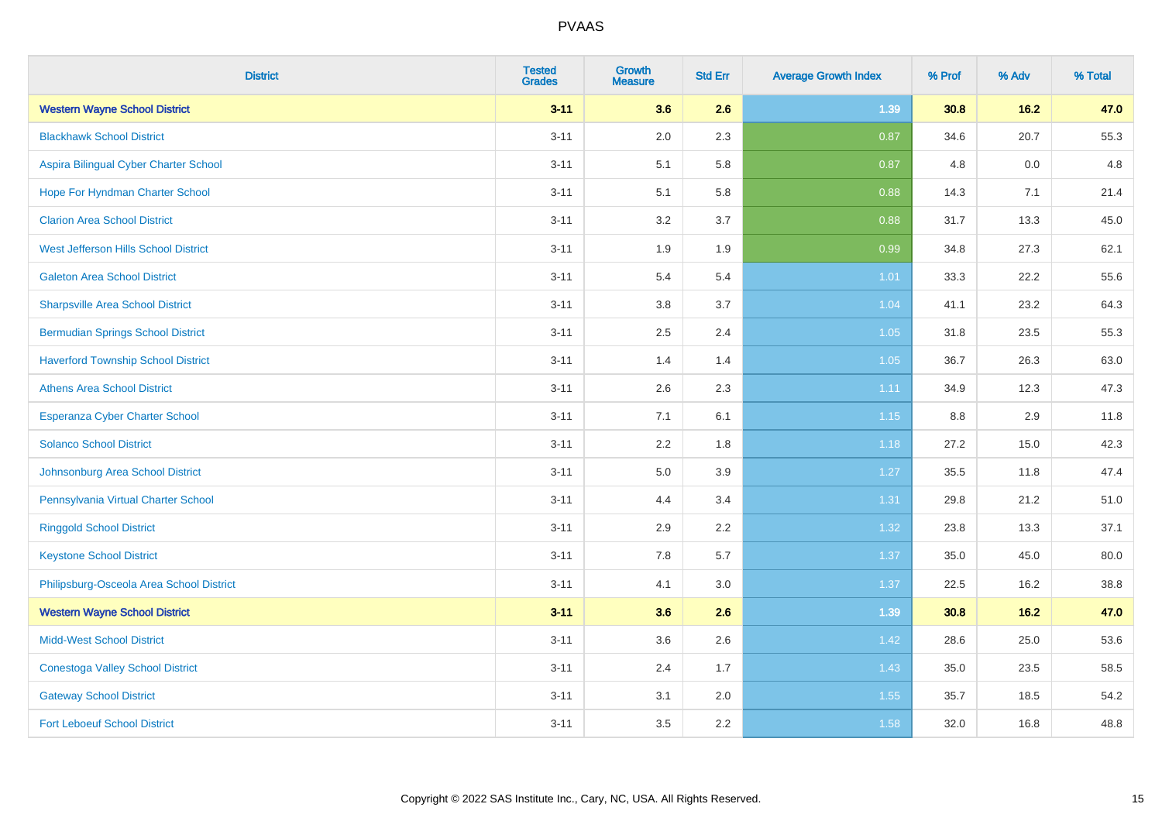| <b>District</b>                           | <b>Tested</b><br><b>Grades</b> | Growth<br><b>Measure</b> | <b>Std Err</b> | <b>Average Growth Index</b> | % Prof | % Adv | % Total |
|-------------------------------------------|--------------------------------|--------------------------|----------------|-----------------------------|--------|-------|---------|
| <b>Western Wayne School District</b>      | $3 - 11$                       | 3.6                      | 2.6            | 1.39                        | 30.8   | 16.2  | 47.0    |
| <b>Blackhawk School District</b>          | $3 - 11$                       | 2.0                      | 2.3            | 0.87                        | 34.6   | 20.7  | 55.3    |
| Aspira Bilingual Cyber Charter School     | $3 - 11$                       | 5.1                      | 5.8            | 0.87                        | 4.8    | 0.0   | 4.8     |
| Hope For Hyndman Charter School           | $3 - 11$                       | 5.1                      | 5.8            | 0.88                        | 14.3   | 7.1   | 21.4    |
| <b>Clarion Area School District</b>       | $3 - 11$                       | 3.2                      | 3.7            | 0.88                        | 31.7   | 13.3  | 45.0    |
| West Jefferson Hills School District      | $3 - 11$                       | 1.9                      | 1.9            | 0.99                        | 34.8   | 27.3  | 62.1    |
| <b>Galeton Area School District</b>       | $3 - 11$                       | 5.4                      | 5.4            | 1.01                        | 33.3   | 22.2  | 55.6    |
| <b>Sharpsville Area School District</b>   | $3 - 11$                       | 3.8                      | 3.7            | 1.04                        | 41.1   | 23.2  | 64.3    |
| <b>Bermudian Springs School District</b>  | $3 - 11$                       | 2.5                      | 2.4            | 1.05                        | 31.8   | 23.5  | 55.3    |
| <b>Haverford Township School District</b> | $3 - 11$                       | 1.4                      | 1.4            | $1.05$                      | 36.7   | 26.3  | 63.0    |
| <b>Athens Area School District</b>        | $3 - 11$                       | 2.6                      | 2.3            | 1.11                        | 34.9   | 12.3  | 47.3    |
| <b>Esperanza Cyber Charter School</b>     | $3 - 11$                       | 7.1                      | 6.1            | $1.15$                      | 8.8    | 2.9   | 11.8    |
| <b>Solanco School District</b>            | $3 - 11$                       | 2.2                      | 1.8            | 1.18                        | 27.2   | 15.0  | 42.3    |
| Johnsonburg Area School District          | $3 - 11$                       | 5.0                      | 3.9            | 1.27                        | 35.5   | 11.8  | 47.4    |
| Pennsylvania Virtual Charter School       | $3 - 11$                       | 4.4                      | 3.4            | 1.31                        | 29.8   | 21.2  | 51.0    |
| <b>Ringgold School District</b>           | $3 - 11$                       | 2.9                      | 2.2            | 1.32                        | 23.8   | 13.3  | 37.1    |
| <b>Keystone School District</b>           | $3 - 11$                       | 7.8                      | 5.7            | 1.37                        | 35.0   | 45.0  | 80.0    |
| Philipsburg-Osceola Area School District  | $3 - 11$                       | 4.1                      | 3.0            | 1.37                        | 22.5   | 16.2  | 38.8    |
| <b>Western Wayne School District</b>      | $3 - 11$                       | 3.6                      | 2.6            | 1.39                        | 30.8   | 16.2  | 47.0    |
| <b>Midd-West School District</b>          | $3 - 11$                       | 3.6                      | 2.6            | 1.42                        | 28.6   | 25.0  | 53.6    |
| <b>Conestoga Valley School District</b>   | $3 - 11$                       | 2.4                      | 1.7            | 1.43                        | 35.0   | 23.5  | 58.5    |
| <b>Gateway School District</b>            | $3 - 11$                       | 3.1                      | 2.0            | 1.55                        | 35.7   | 18.5  | 54.2    |
| <b>Fort Leboeuf School District</b>       | $3 - 11$                       | 3.5                      | 2.2            | 1.58                        | 32.0   | 16.8  | 48.8    |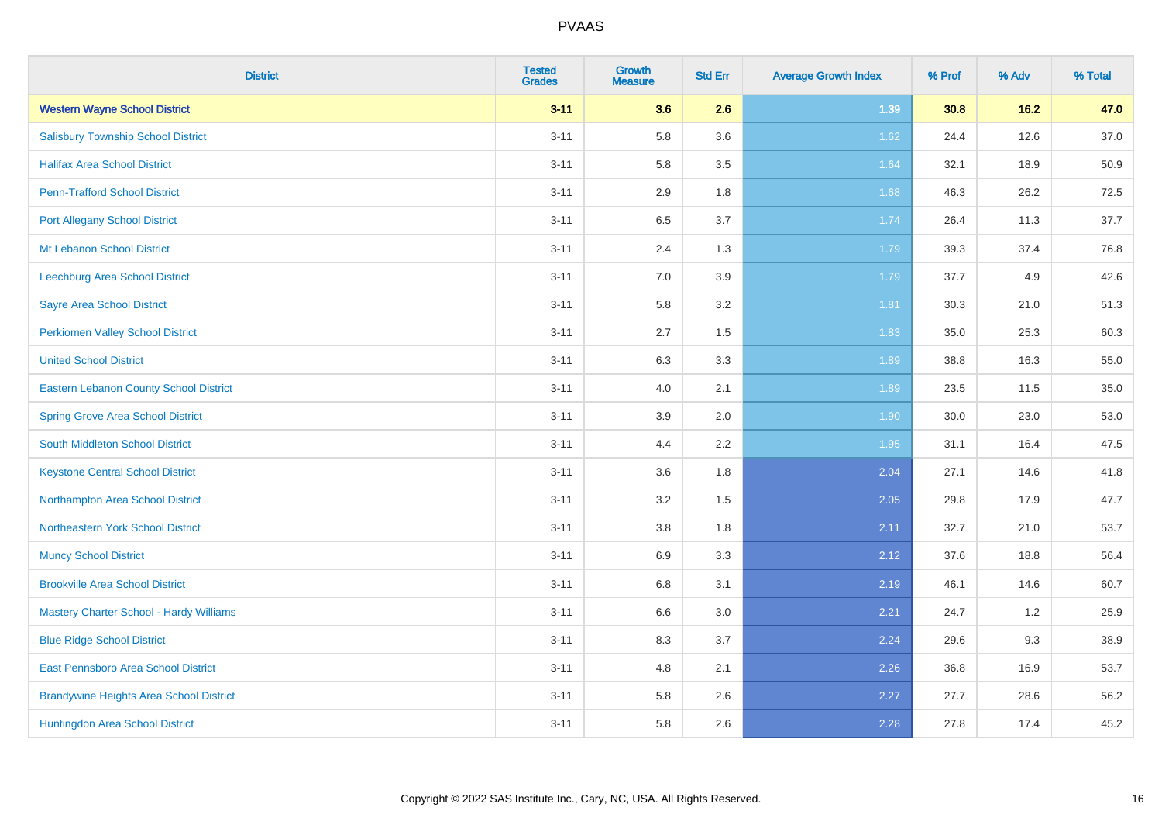| <b>District</b>                                | <b>Tested</b><br><b>Grades</b> | <b>Growth</b><br><b>Measure</b> | <b>Std Err</b> | <b>Average Growth Index</b> | % Prof | % Adv | % Total |
|------------------------------------------------|--------------------------------|---------------------------------|----------------|-----------------------------|--------|-------|---------|
| <b>Western Wayne School District</b>           | $3 - 11$                       | 3.6                             | 2.6            | 1.39                        | 30.8   | 16.2  | 47.0    |
| <b>Salisbury Township School District</b>      | $3 - 11$                       | 5.8                             | 3.6            | 1.62                        | 24.4   | 12.6  | 37.0    |
| <b>Halifax Area School District</b>            | $3 - 11$                       | 5.8                             | 3.5            | 1.64                        | 32.1   | 18.9  | 50.9    |
| <b>Penn-Trafford School District</b>           | $3 - 11$                       | 2.9                             | 1.8            | 1.68                        | 46.3   | 26.2  | 72.5    |
| <b>Port Allegany School District</b>           | $3 - 11$                       | 6.5                             | 3.7            | 1.74                        | 26.4   | 11.3  | 37.7    |
| Mt Lebanon School District                     | $3 - 11$                       | 2.4                             | 1.3            | 1.79                        | 39.3   | 37.4  | 76.8    |
| Leechburg Area School District                 | $3 - 11$                       | 7.0                             | 3.9            | 1.79                        | 37.7   | 4.9   | 42.6    |
| <b>Sayre Area School District</b>              | $3 - 11$                       | 5.8                             | 3.2            | 1.81                        | 30.3   | 21.0  | 51.3    |
| <b>Perkiomen Valley School District</b>        | $3 - 11$                       | 2.7                             | 1.5            | 1.83                        | 35.0   | 25.3  | 60.3    |
| <b>United School District</b>                  | $3 - 11$                       | 6.3                             | 3.3            | 1.89                        | 38.8   | 16.3  | 55.0    |
| Eastern Lebanon County School District         | $3 - 11$                       | 4.0                             | 2.1            | 1.89                        | 23.5   | 11.5  | 35.0    |
| <b>Spring Grove Area School District</b>       | $3 - 11$                       | 3.9                             | 2.0            | 1.90                        | 30.0   | 23.0  | 53.0    |
| South Middleton School District                | $3 - 11$                       | 4.4                             | 2.2            | 1.95                        | 31.1   | 16.4  | 47.5    |
| <b>Keystone Central School District</b>        | $3 - 11$                       | 3.6                             | 1.8            | 2.04                        | 27.1   | 14.6  | 41.8    |
| Northampton Area School District               | $3 - 11$                       | 3.2                             | 1.5            | 2.05                        | 29.8   | 17.9  | 47.7    |
| Northeastern York School District              | $3 - 11$                       | 3.8                             | 1.8            | 2.11                        | 32.7   | 21.0  | 53.7    |
| <b>Muncy School District</b>                   | $3 - 11$                       | 6.9                             | 3.3            | 2.12                        | 37.6   | 18.8  | 56.4    |
| <b>Brookville Area School District</b>         | $3 - 11$                       | 6.8                             | 3.1            | 2.19                        | 46.1   | 14.6  | 60.7    |
| Mastery Charter School - Hardy Williams        | $3 - 11$                       | 6.6                             | 3.0            | 2.21                        | 24.7   | 1.2   | 25.9    |
| <b>Blue Ridge School District</b>              | $3 - 11$                       | 8.3                             | 3.7            | 2.24                        | 29.6   | 9.3   | 38.9    |
| East Pennsboro Area School District            | $3 - 11$                       | 4.8                             | 2.1            | 2.26                        | 36.8   | 16.9  | 53.7    |
| <b>Brandywine Heights Area School District</b> | $3 - 11$                       | 5.8                             | 2.6            | 2.27                        | 27.7   | 28.6  | 56.2    |
| Huntingdon Area School District                | $3 - 11$                       | 5.8                             | 2.6            | 2.28                        | 27.8   | 17.4  | 45.2    |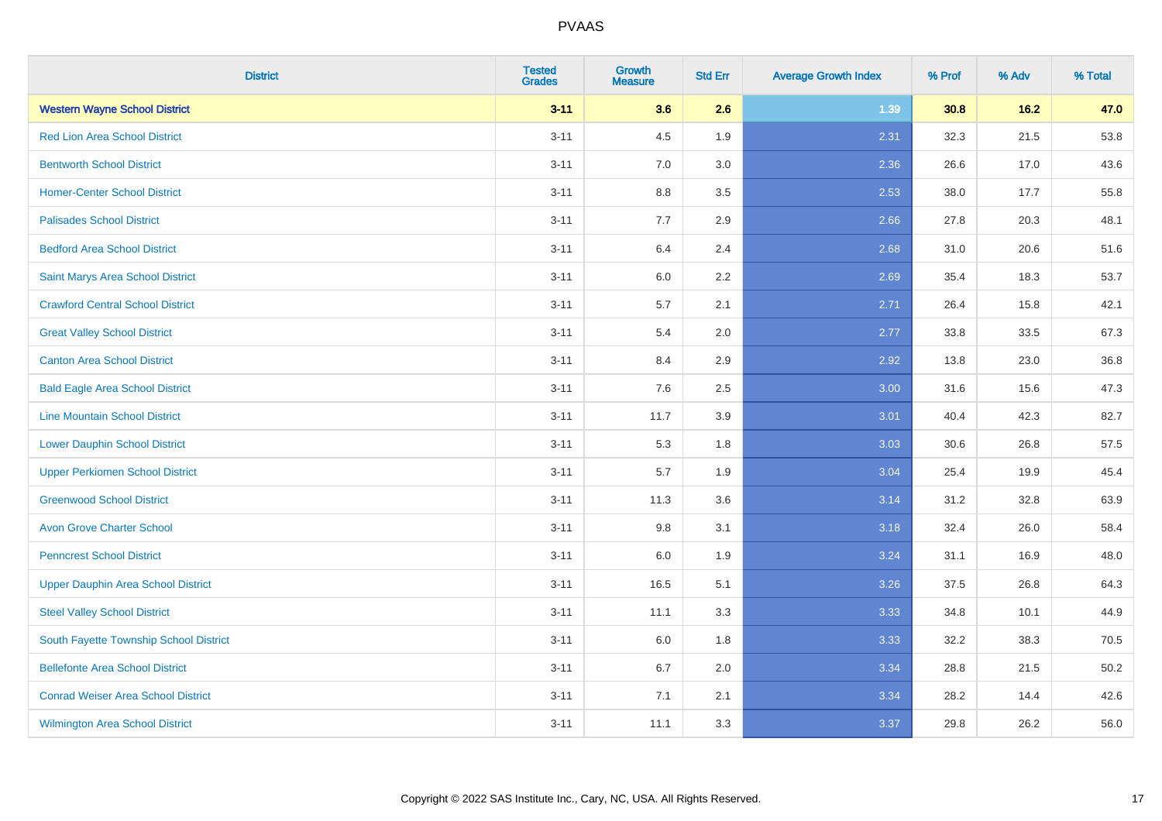| <b>District</b>                           | <b>Tested</b><br><b>Grades</b> | Growth<br><b>Measure</b> | <b>Std Err</b> | <b>Average Growth Index</b> | % Prof | % Adv  | % Total |
|-------------------------------------------|--------------------------------|--------------------------|----------------|-----------------------------|--------|--------|---------|
| <b>Western Wayne School District</b>      | $3 - 11$                       | 3.6                      | 2.6            | 1.39                        | 30.8   | $16.2$ | 47.0    |
| <b>Red Lion Area School District</b>      | $3 - 11$                       | 4.5                      | 1.9            | 2.31                        | 32.3   | 21.5   | 53.8    |
| <b>Bentworth School District</b>          | $3 - 11$                       | 7.0                      | 3.0            | 2.36                        | 26.6   | 17.0   | 43.6    |
| <b>Homer-Center School District</b>       | $3 - 11$                       | 8.8                      | 3.5            | 2.53                        | 38.0   | 17.7   | 55.8    |
| <b>Palisades School District</b>          | $3 - 11$                       | 7.7                      | 2.9            | 2.66                        | 27.8   | 20.3   | 48.1    |
| <b>Bedford Area School District</b>       | $3 - 11$                       | 6.4                      | 2.4            | 2.68                        | 31.0   | 20.6   | 51.6    |
| Saint Marys Area School District          | $3 - 11$                       | 6.0                      | 2.2            | 2.69                        | 35.4   | 18.3   | 53.7    |
| <b>Crawford Central School District</b>   | $3 - 11$                       | 5.7                      | 2.1            | 2.71                        | 26.4   | 15.8   | 42.1    |
| <b>Great Valley School District</b>       | $3 - 11$                       | 5.4                      | 2.0            | 2.77                        | 33.8   | 33.5   | 67.3    |
| <b>Canton Area School District</b>        | $3 - 11$                       | 8.4                      | 2.9            | 2.92                        | 13.8   | 23.0   | 36.8    |
| <b>Bald Eagle Area School District</b>    | $3 - 11$                       | 7.6                      | 2.5            | 3.00                        | 31.6   | 15.6   | 47.3    |
| <b>Line Mountain School District</b>      | $3 - 11$                       | 11.7                     | 3.9            | 3.01                        | 40.4   | 42.3   | 82.7    |
| <b>Lower Dauphin School District</b>      | $3 - 11$                       | 5.3                      | 1.8            | 3.03                        | 30.6   | 26.8   | 57.5    |
| <b>Upper Perkiomen School District</b>    | $3 - 11$                       | 5.7                      | 1.9            | 3.04                        | 25.4   | 19.9   | 45.4    |
| <b>Greenwood School District</b>          | $3 - 11$                       | 11.3                     | 3.6            | 3.14                        | 31.2   | 32.8   | 63.9    |
| <b>Avon Grove Charter School</b>          | $3 - 11$                       | 9.8                      | 3.1            | 3.18                        | 32.4   | 26.0   | 58.4    |
| <b>Penncrest School District</b>          | $3 - 11$                       | 6.0                      | 1.9            | 3.24                        | 31.1   | 16.9   | 48.0    |
| <b>Upper Dauphin Area School District</b> | $3 - 11$                       | 16.5                     | 5.1            | 3.26                        | 37.5   | 26.8   | 64.3    |
| <b>Steel Valley School District</b>       | $3 - 11$                       | 11.1                     | 3.3            | 3.33                        | 34.8   | 10.1   | 44.9    |
| South Fayette Township School District    | $3 - 11$                       | 6.0                      | 1.8            | 3.33                        | 32.2   | 38.3   | 70.5    |
| <b>Bellefonte Area School District</b>    | $3 - 11$                       | 6.7                      | 2.0            | 3.34                        | 28.8   | 21.5   | 50.2    |
| <b>Conrad Weiser Area School District</b> | $3 - 11$                       | 7.1                      | 2.1            | 3.34                        | 28.2   | 14.4   | 42.6    |
| <b>Wilmington Area School District</b>    | $3 - 11$                       | 11.1                     | 3.3            | 3.37                        | 29.8   | 26.2   | 56.0    |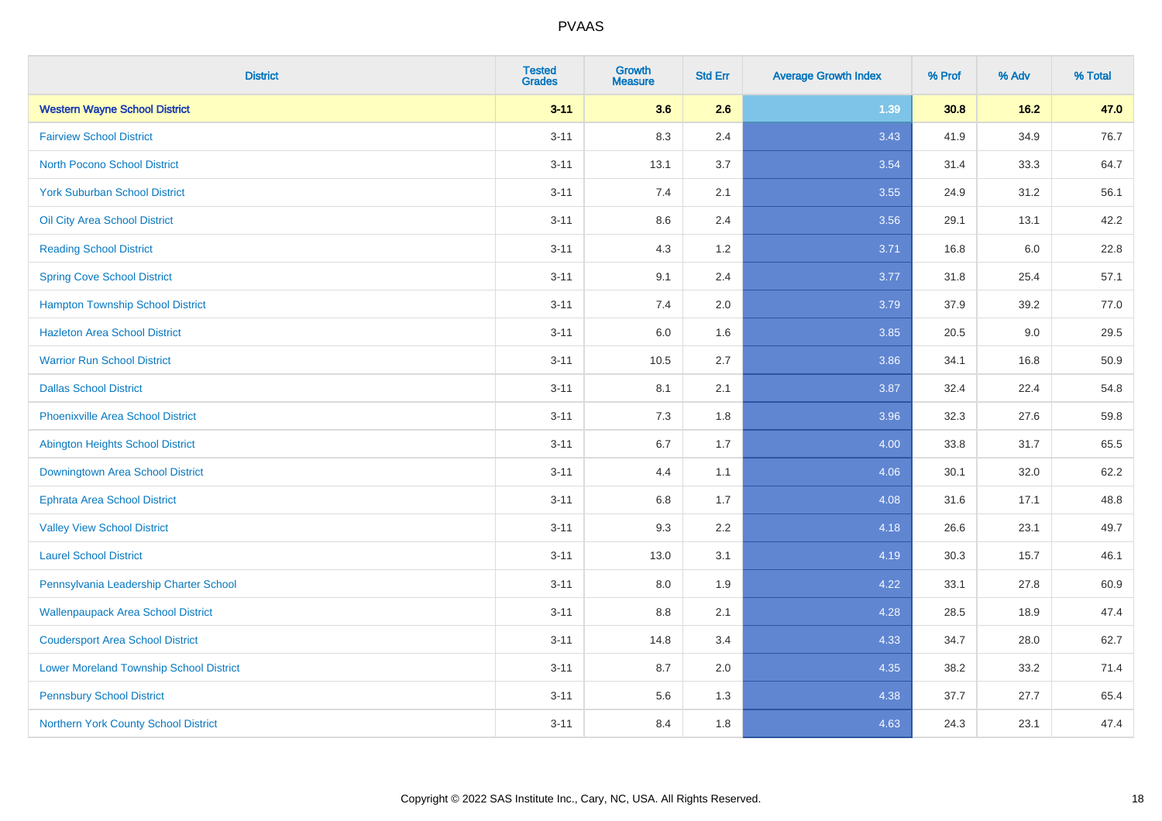| <b>District</b>                                | <b>Tested</b><br><b>Grades</b> | <b>Growth</b><br><b>Measure</b> | <b>Std Err</b> | <b>Average Growth Index</b> | % Prof | % Adv | % Total |
|------------------------------------------------|--------------------------------|---------------------------------|----------------|-----------------------------|--------|-------|---------|
| <b>Western Wayne School District</b>           | $3 - 11$                       | 3.6                             | 2.6            | 1.39                        | 30.8   | 16.2  | 47.0    |
| <b>Fairview School District</b>                | $3 - 11$                       | 8.3                             | 2.4            | 3.43                        | 41.9   | 34.9  | 76.7    |
| <b>North Pocono School District</b>            | $3 - 11$                       | 13.1                            | 3.7            | 3.54                        | 31.4   | 33.3  | 64.7    |
| <b>York Suburban School District</b>           | $3 - 11$                       | 7.4                             | 2.1            | 3.55                        | 24.9   | 31.2  | 56.1    |
| Oil City Area School District                  | $3 - 11$                       | 8.6                             | 2.4            | 3.56                        | 29.1   | 13.1  | 42.2    |
| <b>Reading School District</b>                 | $3 - 11$                       | 4.3                             | 1.2            | 3.71                        | 16.8   | 6.0   | 22.8    |
| <b>Spring Cove School District</b>             | $3 - 11$                       | 9.1                             | 2.4            | 3.77                        | 31.8   | 25.4  | 57.1    |
| <b>Hampton Township School District</b>        | $3 - 11$                       | 7.4                             | 2.0            | 3.79                        | 37.9   | 39.2  | 77.0    |
| <b>Hazleton Area School District</b>           | $3 - 11$                       | 6.0                             | 1.6            | 3.85                        | 20.5   | 9.0   | 29.5    |
| <b>Warrior Run School District</b>             | $3 - 11$                       | 10.5                            | 2.7            | 3.86                        | 34.1   | 16.8  | 50.9    |
| <b>Dallas School District</b>                  | $3 - 11$                       | 8.1                             | 2.1            | 3.87                        | 32.4   | 22.4  | 54.8    |
| <b>Phoenixville Area School District</b>       | $3 - 11$                       | 7.3                             | 1.8            | 3.96                        | 32.3   | 27.6  | 59.8    |
| Abington Heights School District               | $3 - 11$                       | $6.7\,$                         | 1.7            | 4.00                        | 33.8   | 31.7  | 65.5    |
| Downingtown Area School District               | $3 - 11$                       | 4.4                             | 1.1            | 4.06                        | 30.1   | 32.0  | 62.2    |
| <b>Ephrata Area School District</b>            | $3 - 11$                       | 6.8                             | 1.7            | 4.08                        | 31.6   | 17.1  | 48.8    |
| <b>Valley View School District</b>             | $3 - 11$                       | 9.3                             | 2.2            | 4.18                        | 26.6   | 23.1  | 49.7    |
| <b>Laurel School District</b>                  | $3 - 11$                       | 13.0                            | 3.1            | 4.19                        | 30.3   | 15.7  | 46.1    |
| Pennsylvania Leadership Charter School         | $3 - 11$                       | 8.0                             | 1.9            | 4.22                        | 33.1   | 27.8  | 60.9    |
| <b>Wallenpaupack Area School District</b>      | $3 - 11$                       | $8.8\,$                         | 2.1            | 4.28                        | 28.5   | 18.9  | 47.4    |
| <b>Coudersport Area School District</b>        | $3 - 11$                       | 14.8                            | 3.4            | 4.33                        | 34.7   | 28.0  | 62.7    |
| <b>Lower Moreland Township School District</b> | $3 - 11$                       | 8.7                             | 2.0            | 4.35                        | 38.2   | 33.2  | 71.4    |
| <b>Pennsbury School District</b>               | $3 - 11$                       | 5.6                             | 1.3            | 4.38                        | 37.7   | 27.7  | 65.4    |
| Northern York County School District           | $3 - 11$                       | 8.4                             | 1.8            | 4.63                        | 24.3   | 23.1  | 47.4    |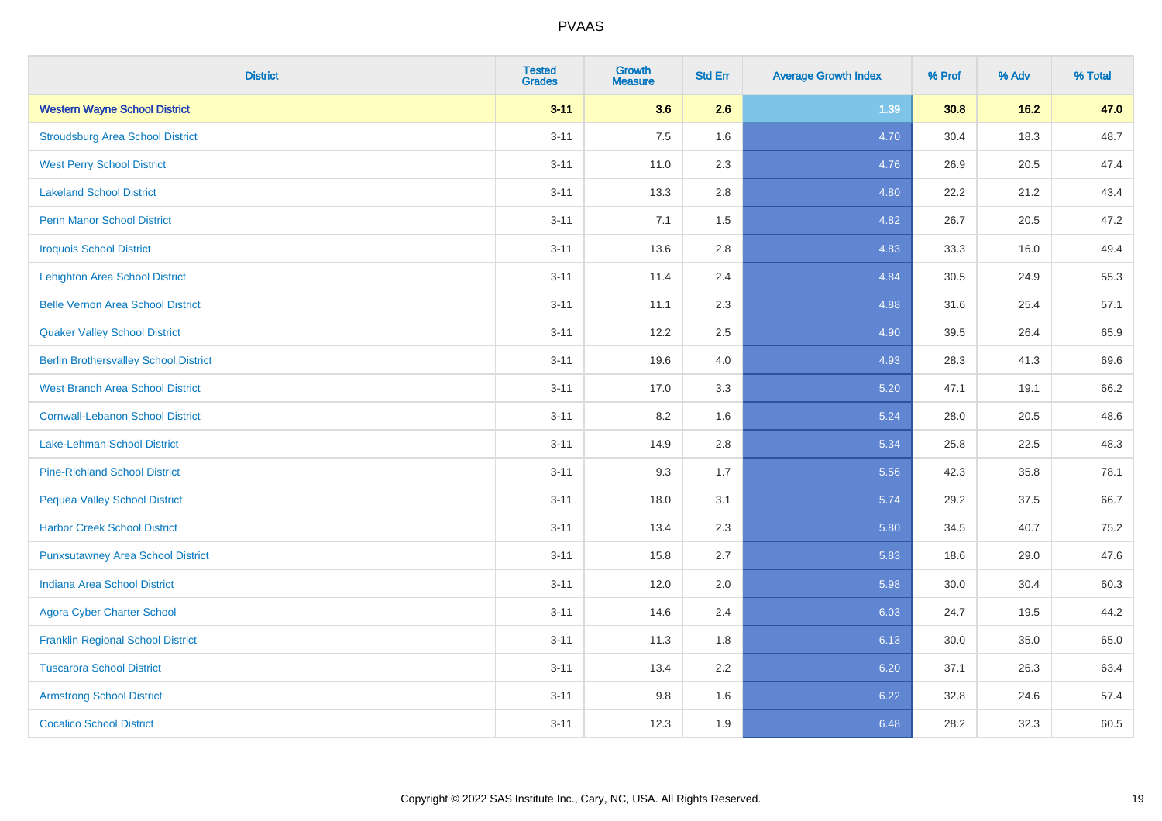| <b>District</b>                              | <b>Tested</b><br><b>Grades</b> | <b>Growth</b><br><b>Measure</b> | <b>Std Err</b> | <b>Average Growth Index</b> | % Prof | % Adv  | % Total |
|----------------------------------------------|--------------------------------|---------------------------------|----------------|-----------------------------|--------|--------|---------|
| <b>Western Wayne School District</b>         | $3 - 11$                       | 3.6                             | 2.6            | 1.39                        | 30.8   | $16.2$ | 47.0    |
| <b>Stroudsburg Area School District</b>      | $3 - 11$                       | 7.5                             | 1.6            | 4.70                        | 30.4   | 18.3   | 48.7    |
| <b>West Perry School District</b>            | $3 - 11$                       | 11.0                            | 2.3            | 4.76                        | 26.9   | 20.5   | 47.4    |
| <b>Lakeland School District</b>              | $3 - 11$                       | 13.3                            | 2.8            | 4.80                        | 22.2   | 21.2   | 43.4    |
| <b>Penn Manor School District</b>            | $3 - 11$                       | 7.1                             | 1.5            | 4.82                        | 26.7   | 20.5   | 47.2    |
| <b>Iroquois School District</b>              | $3 - 11$                       | 13.6                            | 2.8            | 4.83                        | 33.3   | 16.0   | 49.4    |
| <b>Lehighton Area School District</b>        | $3 - 11$                       | 11.4                            | 2.4            | 4.84                        | 30.5   | 24.9   | 55.3    |
| <b>Belle Vernon Area School District</b>     | $3 - 11$                       | 11.1                            | 2.3            | 4.88                        | 31.6   | 25.4   | 57.1    |
| <b>Quaker Valley School District</b>         | $3 - 11$                       | 12.2                            | 2.5            | 4.90                        | 39.5   | 26.4   | 65.9    |
| <b>Berlin Brothersvalley School District</b> | $3 - 11$                       | 19.6                            | 4.0            | 4.93                        | 28.3   | 41.3   | 69.6    |
| <b>West Branch Area School District</b>      | $3 - 11$                       | 17.0                            | 3.3            | 5.20                        | 47.1   | 19.1   | 66.2    |
| <b>Cornwall-Lebanon School District</b>      | $3 - 11$                       | 8.2                             | 1.6            | 5.24                        | 28.0   | 20.5   | 48.6    |
| Lake-Lehman School District                  | $3 - 11$                       | 14.9                            | 2.8            | 5.34                        | 25.8   | 22.5   | 48.3    |
| <b>Pine-Richland School District</b>         | $3 - 11$                       | 9.3                             | 1.7            | 5.56                        | 42.3   | 35.8   | 78.1    |
| <b>Pequea Valley School District</b>         | $3 - 11$                       | 18.0                            | 3.1            | 5.74                        | 29.2   | 37.5   | 66.7    |
| <b>Harbor Creek School District</b>          | $3 - 11$                       | 13.4                            | 2.3            | 5.80                        | 34.5   | 40.7   | 75.2    |
| <b>Punxsutawney Area School District</b>     | $3 - 11$                       | 15.8                            | 2.7            | 5.83                        | 18.6   | 29.0   | 47.6    |
| <b>Indiana Area School District</b>          | $3 - 11$                       | 12.0                            | 2.0            | 5.98                        | 30.0   | 30.4   | 60.3    |
| <b>Agora Cyber Charter School</b>            | $3 - 11$                       | 14.6                            | 2.4            | 6.03                        | 24.7   | 19.5   | 44.2    |
| <b>Franklin Regional School District</b>     | $3 - 11$                       | 11.3                            | 1.8            | 6.13                        | 30.0   | 35.0   | 65.0    |
| <b>Tuscarora School District</b>             | $3 - 11$                       | 13.4                            | 2.2            | 6.20                        | 37.1   | 26.3   | 63.4    |
| <b>Armstrong School District</b>             | $3 - 11$                       | 9.8                             | 1.6            | 6.22                        | 32.8   | 24.6   | 57.4    |
| <b>Cocalico School District</b>              | $3 - 11$                       | 12.3                            | 1.9            | 6.48                        | 28.2   | 32.3   | 60.5    |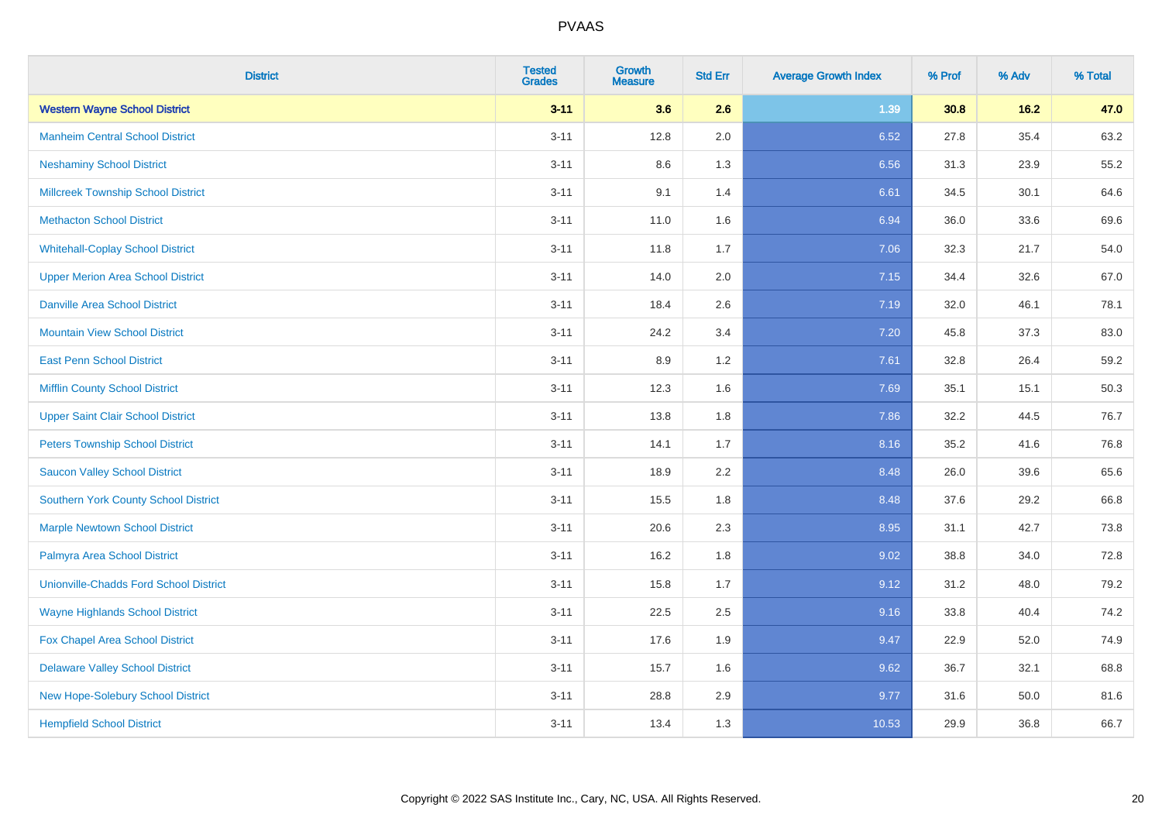| <b>District</b>                               | <b>Tested</b><br><b>Grades</b> | <b>Growth</b><br><b>Measure</b> | <b>Std Err</b> | <b>Average Growth Index</b> | % Prof | % Adv | % Total |
|-----------------------------------------------|--------------------------------|---------------------------------|----------------|-----------------------------|--------|-------|---------|
| <b>Western Wayne School District</b>          | $3 - 11$                       | 3.6                             | 2.6            | 1.39                        | 30.8   | 16.2  | 47.0    |
| <b>Manheim Central School District</b>        | $3 - 11$                       | 12.8                            | 2.0            | 6.52                        | 27.8   | 35.4  | 63.2    |
| <b>Neshaminy School District</b>              | $3 - 11$                       | 8.6                             | 1.3            | 6.56                        | 31.3   | 23.9  | 55.2    |
| <b>Millcreek Township School District</b>     | $3 - 11$                       | 9.1                             | 1.4            | 6.61                        | 34.5   | 30.1  | 64.6    |
| <b>Methacton School District</b>              | $3 - 11$                       | 11.0                            | 1.6            | 6.94                        | 36.0   | 33.6  | 69.6    |
| <b>Whitehall-Coplay School District</b>       | $3 - 11$                       | 11.8                            | 1.7            | 7.06                        | 32.3   | 21.7  | 54.0    |
| <b>Upper Merion Area School District</b>      | $3 - 11$                       | 14.0                            | 2.0            | 7.15                        | 34.4   | 32.6  | 67.0    |
| <b>Danville Area School District</b>          | $3 - 11$                       | 18.4                            | 2.6            | 7.19                        | 32.0   | 46.1  | 78.1    |
| <b>Mountain View School District</b>          | $3 - 11$                       | 24.2                            | 3.4            | 7.20                        | 45.8   | 37.3  | 83.0    |
| <b>East Penn School District</b>              | $3 - 11$                       | 8.9                             | 1.2            | 7.61                        | 32.8   | 26.4  | 59.2    |
| <b>Mifflin County School District</b>         | $3 - 11$                       | 12.3                            | 1.6            | 7.69                        | 35.1   | 15.1  | 50.3    |
| <b>Upper Saint Clair School District</b>      | $3 - 11$                       | 13.8                            | 1.8            | 7.86                        | 32.2   | 44.5  | 76.7    |
| <b>Peters Township School District</b>        | $3 - 11$                       | 14.1                            | 1.7            | 8.16                        | 35.2   | 41.6  | 76.8    |
| <b>Saucon Valley School District</b>          | $3 - 11$                       | 18.9                            | 2.2            | 8.48                        | 26.0   | 39.6  | 65.6    |
| <b>Southern York County School District</b>   | $3 - 11$                       | 15.5                            | 1.8            | 8.48                        | 37.6   | 29.2  | 66.8    |
| <b>Marple Newtown School District</b>         | $3 - 11$                       | 20.6                            | 2.3            | 8.95                        | 31.1   | 42.7  | 73.8    |
| Palmyra Area School District                  | $3 - 11$                       | 16.2                            | 1.8            | 9.02                        | 38.8   | 34.0  | 72.8    |
| <b>Unionville-Chadds Ford School District</b> | $3 - 11$                       | 15.8                            | 1.7            | 9.12                        | 31.2   | 48.0  | 79.2    |
| <b>Wayne Highlands School District</b>        | $3 - 11$                       | 22.5                            | 2.5            | 9.16                        | 33.8   | 40.4  | 74.2    |
| Fox Chapel Area School District               | $3 - 11$                       | 17.6                            | 1.9            | 9.47                        | 22.9   | 52.0  | 74.9    |
| <b>Delaware Valley School District</b>        | $3 - 11$                       | 15.7                            | 1.6            | 9.62                        | 36.7   | 32.1  | 68.8    |
| New Hope-Solebury School District             | $3 - 11$                       | 28.8                            | 2.9            | 9.77                        | 31.6   | 50.0  | 81.6    |
| <b>Hempfield School District</b>              | $3 - 11$                       | 13.4                            | 1.3            | 10.53                       | 29.9   | 36.8  | 66.7    |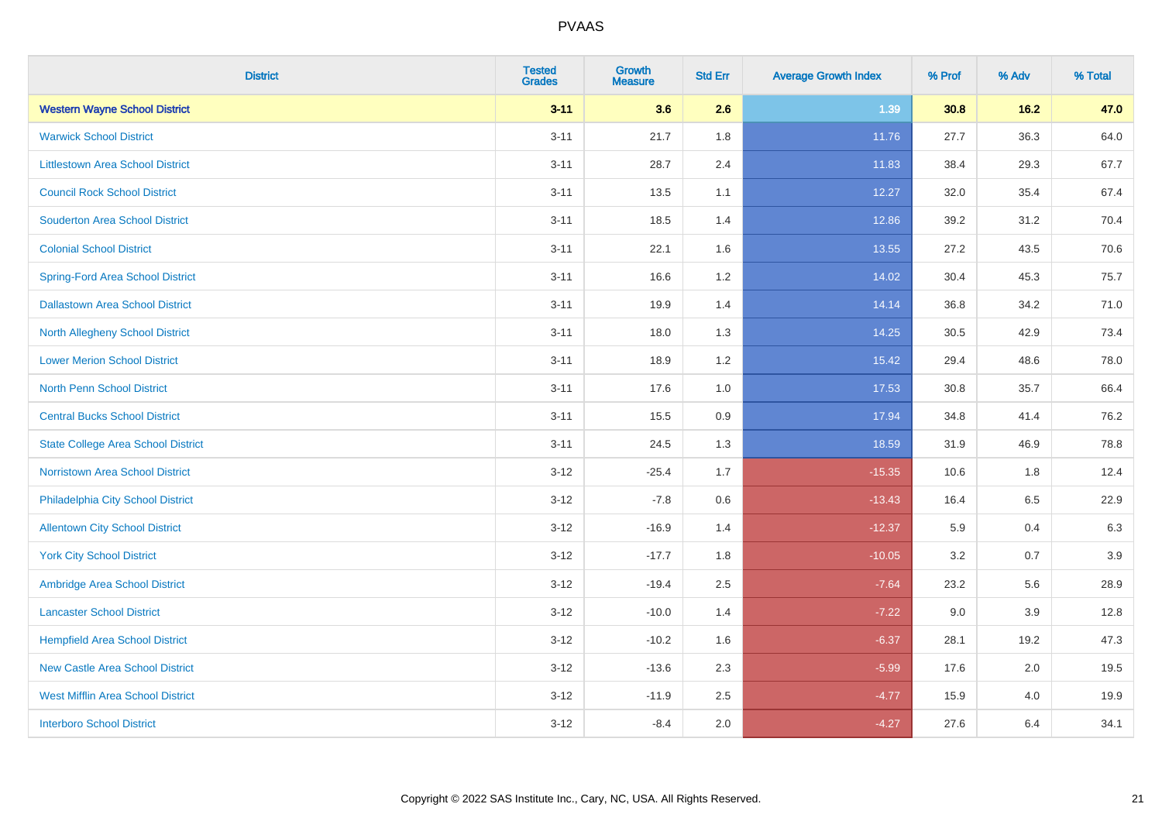| <b>District</b>                           | <b>Tested</b><br><b>Grades</b> | <b>Growth</b><br><b>Measure</b> | <b>Std Err</b> | <b>Average Growth Index</b> | % Prof | % Adv | % Total |
|-------------------------------------------|--------------------------------|---------------------------------|----------------|-----------------------------|--------|-------|---------|
| <b>Western Wayne School District</b>      | $3 - 11$                       | 3.6                             | 2.6            | 1.39                        | 30.8   | 16.2  | 47.0    |
| <b>Warwick School District</b>            | $3 - 11$                       | 21.7                            | 1.8            | 11.76                       | 27.7   | 36.3  | 64.0    |
| <b>Littlestown Area School District</b>   | $3 - 11$                       | 28.7                            | 2.4            | 11.83                       | 38.4   | 29.3  | 67.7    |
| <b>Council Rock School District</b>       | $3 - 11$                       | 13.5                            | 1.1            | 12.27                       | 32.0   | 35.4  | 67.4    |
| <b>Souderton Area School District</b>     | $3 - 11$                       | 18.5                            | 1.4            | 12.86                       | 39.2   | 31.2  | 70.4    |
| <b>Colonial School District</b>           | $3 - 11$                       | 22.1                            | 1.6            | 13.55                       | 27.2   | 43.5  | 70.6    |
| <b>Spring-Ford Area School District</b>   | $3 - 11$                       | 16.6                            | $1.2$          | 14.02                       | 30.4   | 45.3  | 75.7    |
| <b>Dallastown Area School District</b>    | $3 - 11$                       | 19.9                            | 1.4            | 14.14                       | 36.8   | 34.2  | 71.0    |
| <b>North Allegheny School District</b>    | $3 - 11$                       | 18.0                            | 1.3            | 14.25                       | 30.5   | 42.9  | 73.4    |
| <b>Lower Merion School District</b>       | $3 - 11$                       | 18.9                            | 1.2            | 15.42                       | 29.4   | 48.6  | 78.0    |
| <b>North Penn School District</b>         | $3 - 11$                       | 17.6                            | 1.0            | 17.53                       | 30.8   | 35.7  | 66.4    |
| <b>Central Bucks School District</b>      | $3 - 11$                       | 15.5                            | 0.9            | 17.94                       | 34.8   | 41.4  | 76.2    |
| <b>State College Area School District</b> | $3 - 11$                       | 24.5                            | 1.3            | 18.59                       | 31.9   | 46.9  | 78.8    |
| <b>Norristown Area School District</b>    | $3 - 12$                       | $-25.4$                         | 1.7            | $-15.35$                    | 10.6   | 1.8   | 12.4    |
| Philadelphia City School District         | $3 - 12$                       | $-7.8$                          | 0.6            | $-13.43$                    | 16.4   | 6.5   | 22.9    |
| <b>Allentown City School District</b>     | $3 - 12$                       | $-16.9$                         | 1.4            | $-12.37$                    | 5.9    | 0.4   | 6.3     |
| <b>York City School District</b>          | $3 - 12$                       | $-17.7$                         | 1.8            | $-10.05$                    | 3.2    | 0.7   | 3.9     |
| Ambridge Area School District             | $3 - 12$                       | $-19.4$                         | 2.5            | $-7.64$                     | 23.2   | 5.6   | 28.9    |
| <b>Lancaster School District</b>          | $3 - 12$                       | $-10.0$                         | 1.4            | $-7.22$                     | 9.0    | 3.9   | 12.8    |
| <b>Hempfield Area School District</b>     | $3 - 12$                       | $-10.2$                         | 1.6            | $-6.37$                     | 28.1   | 19.2  | 47.3    |
| <b>New Castle Area School District</b>    | $3 - 12$                       | $-13.6$                         | 2.3            | $-5.99$                     | 17.6   | 2.0   | 19.5    |
| <b>West Mifflin Area School District</b>  | $3 - 12$                       | $-11.9$                         | 2.5            | $-4.77$                     | 15.9   | 4.0   | 19.9    |
| <b>Interboro School District</b>          | $3-12$                         | $-8.4$                          | 2.0            | $-4.27$                     | 27.6   | 6.4   | 34.1    |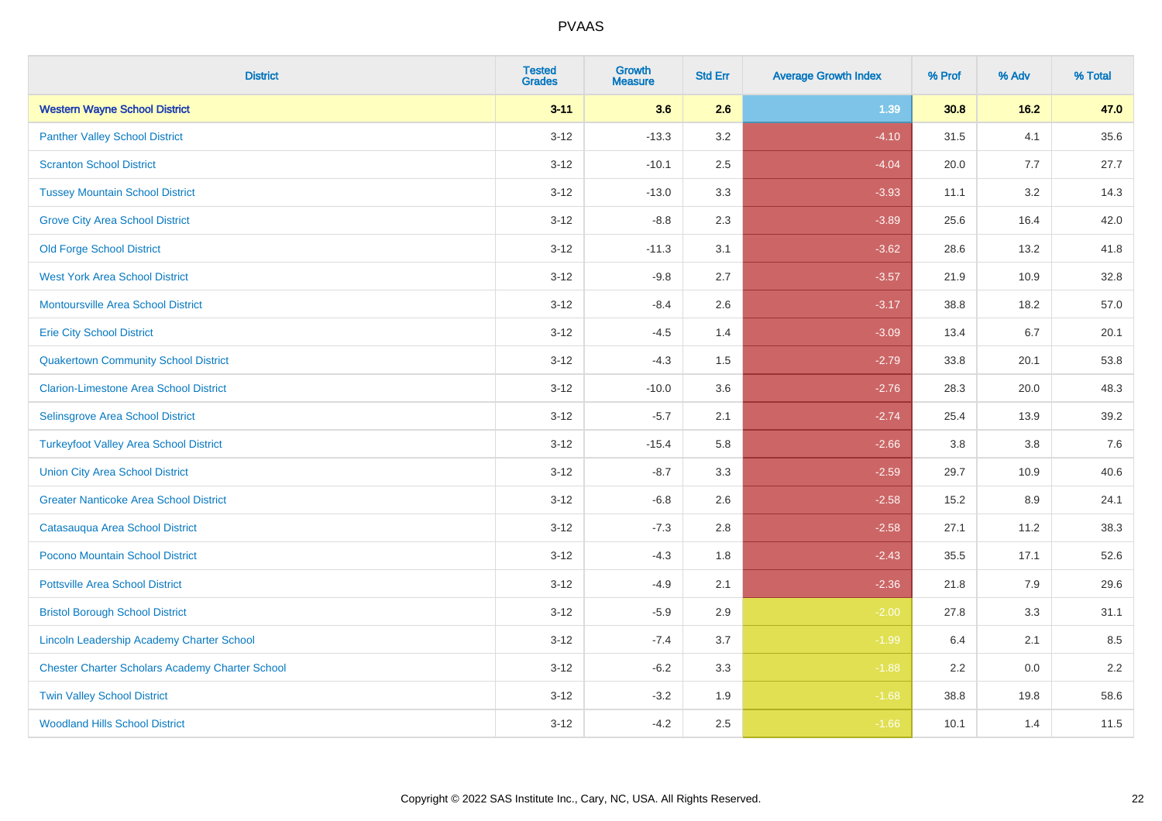| <b>District</b>                                        | <b>Tested</b><br><b>Grades</b> | <b>Growth</b><br><b>Measure</b> | <b>Std Err</b> | <b>Average Growth Index</b> | % Prof | % Adv   | % Total |
|--------------------------------------------------------|--------------------------------|---------------------------------|----------------|-----------------------------|--------|---------|---------|
| <b>Western Wayne School District</b>                   | $3 - 11$                       | 3.6                             | 2.6            | 1.39                        | 30.8   | 16.2    | 47.0    |
| <b>Panther Valley School District</b>                  | $3 - 12$                       | $-13.3$                         | 3.2            | $-4.10$                     | 31.5   | 4.1     | 35.6    |
| <b>Scranton School District</b>                        | $3 - 12$                       | $-10.1$                         | 2.5            | $-4.04$                     | 20.0   | 7.7     | 27.7    |
| <b>Tussey Mountain School District</b>                 | $3 - 12$                       | $-13.0$                         | 3.3            | $-3.93$                     | 11.1   | 3.2     | 14.3    |
| <b>Grove City Area School District</b>                 | $3 - 12$                       | $-8.8$                          | 2.3            | $-3.89$                     | 25.6   | 16.4    | 42.0    |
| <b>Old Forge School District</b>                       | $3 - 12$                       | $-11.3$                         | 3.1            | $-3.62$                     | 28.6   | 13.2    | 41.8    |
| <b>West York Area School District</b>                  | $3 - 12$                       | $-9.8$                          | 2.7            | $-3.57$                     | 21.9   | 10.9    | 32.8    |
| <b>Montoursville Area School District</b>              | $3 - 12$                       | $-8.4$                          | 2.6            | $-3.17$                     | 38.8   | 18.2    | 57.0    |
| <b>Erie City School District</b>                       | $3 - 12$                       | $-4.5$                          | 1.4            | $-3.09$                     | 13.4   | 6.7     | 20.1    |
| <b>Quakertown Community School District</b>            | $3-12$                         | $-4.3$                          | 1.5            | $-2.79$                     | 33.8   | 20.1    | 53.8    |
| <b>Clarion-Limestone Area School District</b>          | $3-12$                         | $-10.0$                         | 3.6            | $-2.76$                     | 28.3   | 20.0    | 48.3    |
| Selinsgrove Area School District                       | $3 - 12$                       | $-5.7$                          | 2.1            | $-2.74$                     | 25.4   | 13.9    | 39.2    |
| <b>Turkeyfoot Valley Area School District</b>          | $3 - 12$                       | $-15.4$                         | 5.8            | $-2.66$                     | 3.8    | $3.8\,$ | 7.6     |
| <b>Union City Area School District</b>                 | $3 - 12$                       | $-8.7$                          | 3.3            | $-2.59$                     | 29.7   | 10.9    | 40.6    |
| <b>Greater Nanticoke Area School District</b>          | $3 - 12$                       | $-6.8$                          | 2.6            | $-2.58$                     | 15.2   | 8.9     | 24.1    |
| Catasauqua Area School District                        | $3 - 12$                       | $-7.3$                          | 2.8            | $-2.58$                     | 27.1   | 11.2    | 38.3    |
| Pocono Mountain School District                        | $3 - 12$                       | $-4.3$                          | 1.8            | $-2.43$                     | 35.5   | 17.1    | 52.6    |
| <b>Pottsville Area School District</b>                 | $3 - 12$                       | $-4.9$                          | 2.1            | $-2.36$                     | 21.8   | 7.9     | 29.6    |
| <b>Bristol Borough School District</b>                 | $3-12$                         | $-5.9$                          | 2.9            | $-2.00$                     | 27.8   | 3.3     | 31.1    |
| <b>Lincoln Leadership Academy Charter School</b>       | $3 - 12$                       | $-7.4$                          | 3.7            | $-1.99$                     | 6.4    | 2.1     | 8.5     |
| <b>Chester Charter Scholars Academy Charter School</b> | $3 - 12$                       | $-6.2$                          | 3.3            | $-1.88$                     | 2.2    | 0.0     | 2.2     |
| <b>Twin Valley School District</b>                     | $3 - 12$                       | $-3.2$                          | 1.9            | $-1.68$                     | 38.8   | 19.8    | 58.6    |
| <b>Woodland Hills School District</b>                  | $3-12$                         | $-4.2$                          | 2.5            | $-1.66$                     | 10.1   | 1.4     | 11.5    |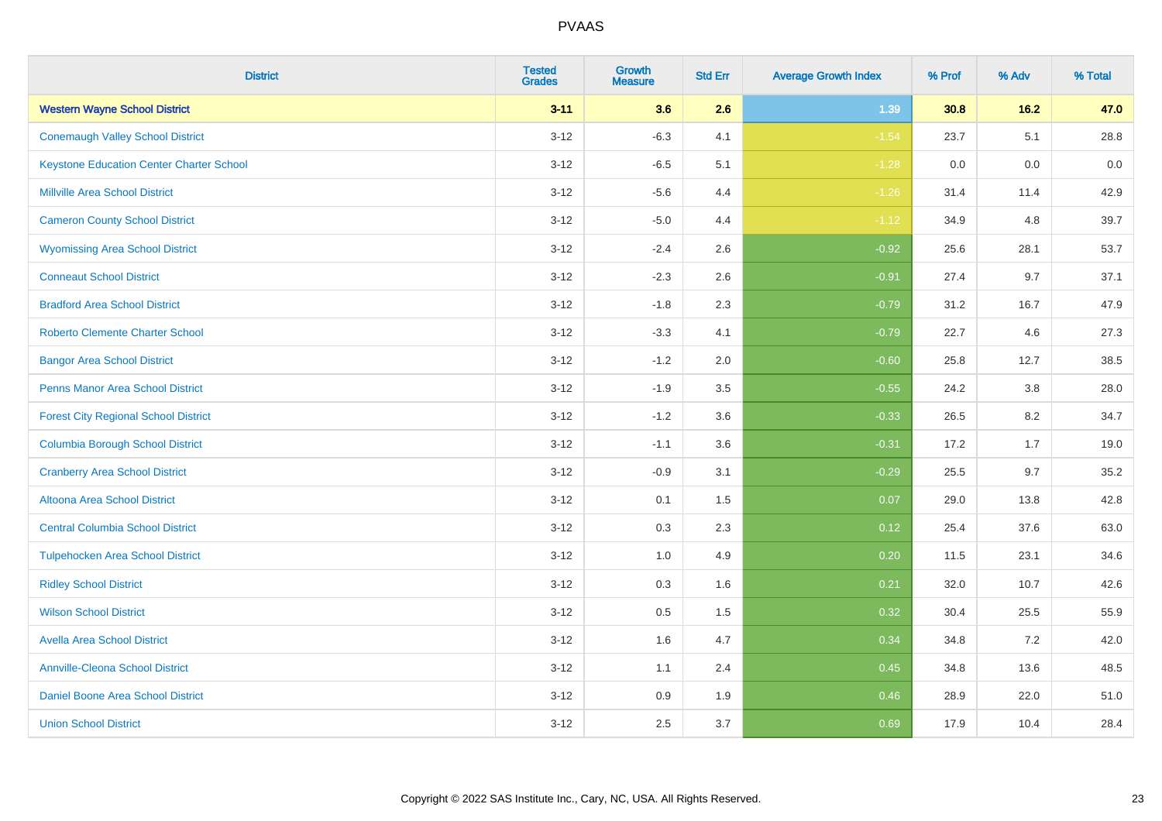| <b>District</b>                                 | <b>Tested</b><br><b>Grades</b> | <b>Growth</b><br><b>Measure</b> | <b>Std Err</b> | <b>Average Growth Index</b> | % Prof | % Adv  | % Total |
|-------------------------------------------------|--------------------------------|---------------------------------|----------------|-----------------------------|--------|--------|---------|
| <b>Western Wayne School District</b>            | $3 - 11$                       | 3.6                             | 2.6            | 1.39                        | 30.8   | $16.2$ | 47.0    |
| <b>Conemaugh Valley School District</b>         | $3 - 12$                       | $-6.3$                          | 4.1            | $-1.54$                     | 23.7   | 5.1    | 28.8    |
| <b>Keystone Education Center Charter School</b> | $3 - 12$                       | $-6.5$                          | 5.1            | $-1.28$                     | 0.0    | 0.0    | 0.0     |
| <b>Millville Area School District</b>           | $3 - 12$                       | $-5.6$                          | 4.4            | $-1.26$                     | 31.4   | 11.4   | 42.9    |
| <b>Cameron County School District</b>           | $3 - 12$                       | $-5.0$                          | 4.4            | $-1.12$                     | 34.9   | 4.8    | 39.7    |
| <b>Wyomissing Area School District</b>          | $3 - 12$                       | $-2.4$                          | 2.6            | $-0.92$                     | 25.6   | 28.1   | 53.7    |
| <b>Conneaut School District</b>                 | $3 - 12$                       | $-2.3$                          | 2.6            | $-0.91$                     | 27.4   | 9.7    | 37.1    |
| <b>Bradford Area School District</b>            | $3 - 12$                       | $-1.8$                          | 2.3            | $-0.79$                     | 31.2   | 16.7   | 47.9    |
| <b>Roberto Clemente Charter School</b>          | $3 - 12$                       | $-3.3$                          | 4.1            | $-0.79$                     | 22.7   | 4.6    | 27.3    |
| <b>Bangor Area School District</b>              | $3 - 12$                       | $-1.2$                          | 2.0            | $-0.60$                     | 25.8   | 12.7   | 38.5    |
| Penns Manor Area School District                | $3-12$                         | $-1.9$                          | 3.5            | $-0.55$                     | 24.2   | 3.8    | 28.0    |
| <b>Forest City Regional School District</b>     | $3 - 12$                       | $-1.2$                          | 3.6            | $-0.33$                     | 26.5   | 8.2    | 34.7    |
| <b>Columbia Borough School District</b>         | $3 - 12$                       | $-1.1$                          | 3.6            | $-0.31$                     | 17.2   | 1.7    | 19.0    |
| <b>Cranberry Area School District</b>           | $3-12$                         | $-0.9$                          | 3.1            | $-0.29$                     | 25.5   | 9.7    | 35.2    |
| Altoona Area School District                    | $3 - 12$                       | 0.1                             | 1.5            | 0.07                        | 29.0   | 13.8   | 42.8    |
| <b>Central Columbia School District</b>         | $3 - 12$                       | 0.3                             | 2.3            | 0.12                        | 25.4   | 37.6   | 63.0    |
| <b>Tulpehocken Area School District</b>         | $3 - 12$                       | 1.0                             | 4.9            | 0.20                        | 11.5   | 23.1   | 34.6    |
| <b>Ridley School District</b>                   | $3 - 12$                       | 0.3                             | 1.6            | 0.21                        | 32.0   | 10.7   | 42.6    |
| <b>Wilson School District</b>                   | $3 - 12$                       | $0.5\,$                         | 1.5            | 0.32                        | 30.4   | 25.5   | 55.9    |
| <b>Avella Area School District</b>              | $3 - 12$                       | 1.6                             | 4.7            | 0.34                        | 34.8   | 7.2    | 42.0    |
| <b>Annville-Cleona School District</b>          | $3 - 12$                       | 1.1                             | 2.4            | 0.45                        | 34.8   | 13.6   | 48.5    |
| Daniel Boone Area School District               | $3 - 12$                       | $0.9\,$                         | 1.9            | 0.46                        | 28.9   | 22.0   | 51.0    |
| <b>Union School District</b>                    | $3-12$                         | 2.5                             | 3.7            | 0.69                        | 17.9   | 10.4   | 28.4    |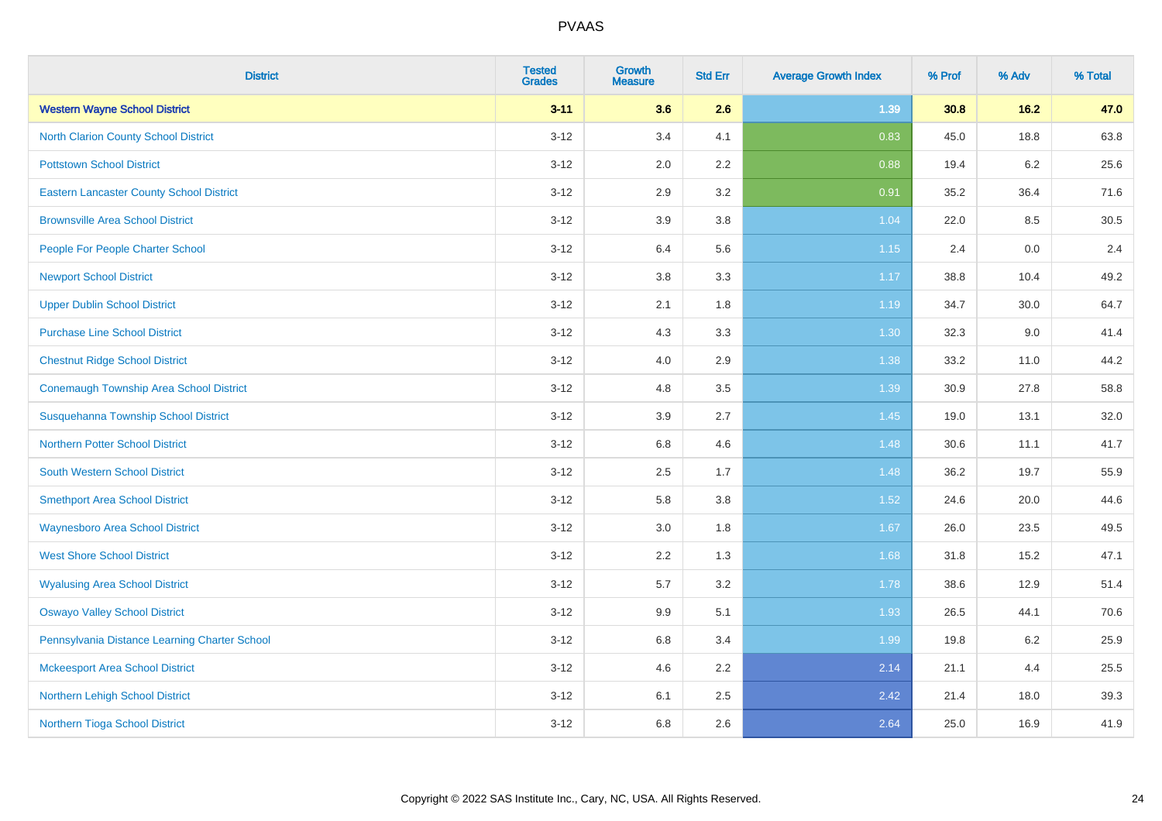| <b>District</b>                                 | <b>Tested</b><br><b>Grades</b> | <b>Growth</b><br><b>Measure</b> | <b>Std Err</b> | <b>Average Growth Index</b> | % Prof | % Adv   | % Total |
|-------------------------------------------------|--------------------------------|---------------------------------|----------------|-----------------------------|--------|---------|---------|
| <b>Western Wayne School District</b>            | $3 - 11$                       | 3.6                             | 2.6            | 1.39                        | 30.8   | $16.2$  | 47.0    |
| <b>North Clarion County School District</b>     | $3-12$                         | 3.4                             | 4.1            | 0.83                        | 45.0   | 18.8    | 63.8    |
| <b>Pottstown School District</b>                | $3 - 12$                       | 2.0                             | 2.2            | 0.88                        | 19.4   | 6.2     | 25.6    |
| <b>Eastern Lancaster County School District</b> | $3 - 12$                       | 2.9                             | 3.2            | 0.91                        | 35.2   | 36.4    | 71.6    |
| <b>Brownsville Area School District</b>         | $3-12$                         | 3.9                             | 3.8            | 1.04                        | 22.0   | 8.5     | 30.5    |
| People For People Charter School                | $3 - 12$                       | 6.4                             | 5.6            | 1.15                        | 2.4    | $0.0\,$ | 2.4     |
| <b>Newport School District</b>                  | $3 - 12$                       | 3.8                             | 3.3            | 1.17                        | 38.8   | 10.4    | 49.2    |
| <b>Upper Dublin School District</b>             | $3 - 12$                       | 2.1                             | 1.8            | 1.19                        | 34.7   | 30.0    | 64.7    |
| <b>Purchase Line School District</b>            | $3-12$                         | 4.3                             | 3.3            | 1.30                        | 32.3   | $9.0\,$ | 41.4    |
| <b>Chestnut Ridge School District</b>           | $3 - 12$                       | 4.0                             | 2.9            | 1.38                        | 33.2   | 11.0    | 44.2    |
| <b>Conemaugh Township Area School District</b>  | $3 - 12$                       | 4.8                             | 3.5            | 1.39                        | 30.9   | 27.8    | 58.8    |
| Susquehanna Township School District            | $3 - 12$                       | 3.9                             | 2.7            | 1.45                        | 19.0   | 13.1    | 32.0    |
| <b>Northern Potter School District</b>          | $3-12$                         | 6.8                             | 4.6            | 1.48                        | 30.6   | 11.1    | 41.7    |
| <b>South Western School District</b>            | $3-12$                         | 2.5                             | 1.7            | 1.48                        | 36.2   | 19.7    | 55.9    |
| <b>Smethport Area School District</b>           | $3-12$                         | 5.8                             | 3.8            | 1.52                        | 24.6   | 20.0    | 44.6    |
| <b>Waynesboro Area School District</b>          | $3 - 12$                       | 3.0                             | 1.8            | 1.67                        | 26.0   | 23.5    | 49.5    |
| <b>West Shore School District</b>               | $3 - 12$                       | 2.2                             | 1.3            | 1.68                        | 31.8   | 15.2    | 47.1    |
| <b>Wyalusing Area School District</b>           | $3-12$                         | 5.7                             | 3.2            | 1.78                        | 38.6   | 12.9    | 51.4    |
| <b>Oswayo Valley School District</b>            | $3-12$                         | 9.9                             | 5.1            | 1.93                        | 26.5   | 44.1    | 70.6    |
| Pennsylvania Distance Learning Charter School   | $3 - 12$                       | 6.8                             | 3.4            | 1.99                        | 19.8   | 6.2     | 25.9    |
| <b>Mckeesport Area School District</b>          | $3 - 12$                       | 4.6                             | 2.2            | 2.14                        | 21.1   | 4.4     | 25.5    |
| Northern Lehigh School District                 | $3 - 12$                       | 6.1                             | 2.5            | 2.42                        | 21.4   | 18.0    | 39.3    |
| Northern Tioga School District                  | $3 - 12$                       | 6.8                             | 2.6            | 2.64                        | 25.0   | 16.9    | 41.9    |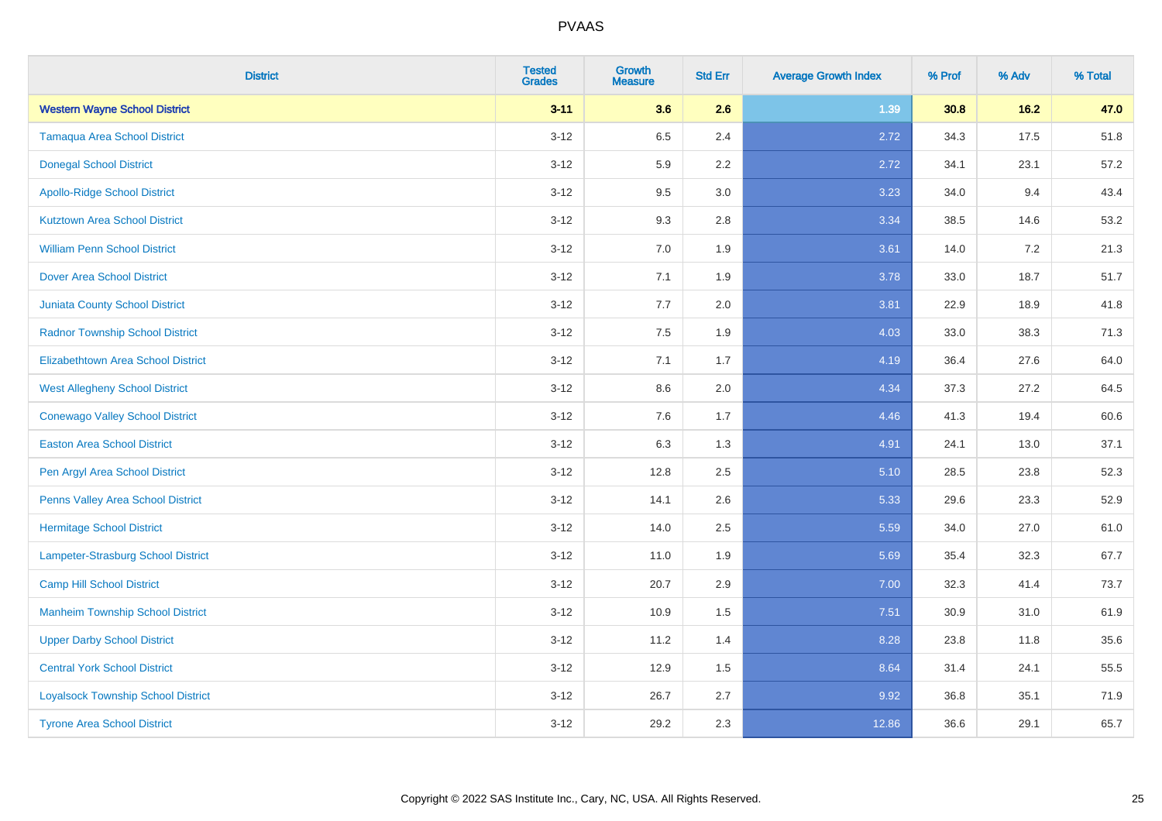| <b>District</b>                           | <b>Tested</b><br><b>Grades</b> | <b>Growth</b><br><b>Measure</b> | <b>Std Err</b> | <b>Average Growth Index</b> | % Prof | % Adv   | % Total |
|-------------------------------------------|--------------------------------|---------------------------------|----------------|-----------------------------|--------|---------|---------|
| <b>Western Wayne School District</b>      | $3 - 11$                       | 3.6                             | 2.6            | 1.39                        | 30.8   | 16.2    | 47.0    |
| <b>Tamaqua Area School District</b>       | $3 - 12$                       | 6.5                             | 2.4            | 2.72                        | 34.3   | 17.5    | 51.8    |
| <b>Donegal School District</b>            | $3 - 12$                       | 5.9                             | 2.2            | 2.72                        | 34.1   | 23.1    | 57.2    |
| <b>Apollo-Ridge School District</b>       | $3 - 12$                       | 9.5                             | 3.0            | 3.23                        | 34.0   | 9.4     | 43.4    |
| <b>Kutztown Area School District</b>      | $3 - 12$                       | 9.3                             | 2.8            | 3.34                        | 38.5   | 14.6    | 53.2    |
| <b>William Penn School District</b>       | $3 - 12$                       | 7.0                             | 1.9            | 3.61                        | 14.0   | $7.2\,$ | 21.3    |
| <b>Dover Area School District</b>         | $3 - 12$                       | 7.1                             | 1.9            | 3.78                        | 33.0   | 18.7    | 51.7    |
| <b>Juniata County School District</b>     | $3 - 12$                       | 7.7                             | 2.0            | 3.81                        | 22.9   | 18.9    | 41.8    |
| <b>Radnor Township School District</b>    | $3 - 12$                       | 7.5                             | 1.9            | 4.03                        | 33.0   | 38.3    | 71.3    |
| <b>Elizabethtown Area School District</b> | $3-12$                         | 7.1                             | 1.7            | 4.19                        | 36.4   | 27.6    | 64.0    |
| <b>West Allegheny School District</b>     | $3-12$                         | 8.6                             | 2.0            | 4.34                        | 37.3   | 27.2    | 64.5    |
| <b>Conewago Valley School District</b>    | $3 - 12$                       | 7.6                             | 1.7            | 4.46                        | 41.3   | 19.4    | 60.6    |
| <b>Easton Area School District</b>        | $3 - 12$                       | 6.3                             | 1.3            | 4.91                        | 24.1   | 13.0    | 37.1    |
| Pen Argyl Area School District            | $3 - 12$                       | 12.8                            | 2.5            | 5.10                        | 28.5   | 23.8    | 52.3    |
| Penns Valley Area School District         | $3 - 12$                       | 14.1                            | 2.6            | 5.33                        | 29.6   | 23.3    | 52.9    |
| <b>Hermitage School District</b>          | $3 - 12$                       | 14.0                            | 2.5            | 5.59                        | 34.0   | 27.0    | 61.0    |
| Lampeter-Strasburg School District        | $3 - 12$                       | 11.0                            | 1.9            | 5.69                        | 35.4   | 32.3    | 67.7    |
| <b>Camp Hill School District</b>          | $3 - 12$                       | 20.7                            | 2.9            | 7.00                        | 32.3   | 41.4    | 73.7    |
| <b>Manheim Township School District</b>   | $3 - 12$                       | 10.9                            | 1.5            | 7.51                        | 30.9   | 31.0    | 61.9    |
| <b>Upper Darby School District</b>        | $3 - 12$                       | 11.2                            | 1.4            | 8.28                        | 23.8   | 11.8    | 35.6    |
| <b>Central York School District</b>       | $3 - 12$                       | 12.9                            | 1.5            | 8.64                        | 31.4   | 24.1    | 55.5    |
| <b>Loyalsock Township School District</b> | $3 - 12$                       | 26.7                            | 2.7            | 9.92                        | 36.8   | 35.1    | 71.9    |
| <b>Tyrone Area School District</b>        | $3-12$                         | 29.2                            | 2.3            | 12.86                       | 36.6   | 29.1    | 65.7    |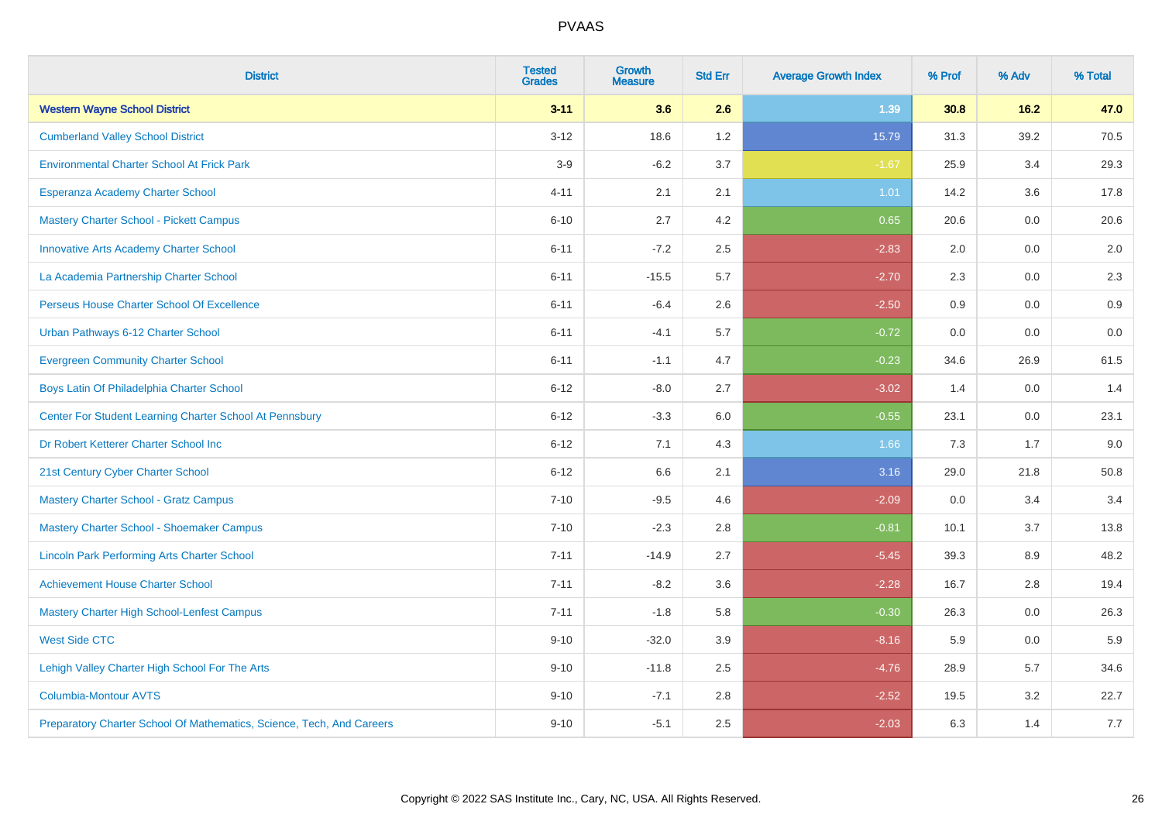| <b>District</b>                                                       | <b>Tested</b><br><b>Grades</b> | <b>Growth</b><br><b>Measure</b> | <b>Std Err</b> | <b>Average Growth Index</b> | % Prof | % Adv | % Total |
|-----------------------------------------------------------------------|--------------------------------|---------------------------------|----------------|-----------------------------|--------|-------|---------|
| <b>Western Wayne School District</b>                                  | $3 - 11$                       | 3.6                             | 2.6            | 1.39                        | 30.8   | 16.2  | 47.0    |
| <b>Cumberland Valley School District</b>                              | $3 - 12$                       | 18.6                            | 1.2            | 15.79                       | 31.3   | 39.2  | 70.5    |
| <b>Environmental Charter School At Frick Park</b>                     | $3-9$                          | $-6.2$                          | 3.7            | $-1.67$                     | 25.9   | 3.4   | 29.3    |
| Esperanza Academy Charter School                                      | $4 - 11$                       | 2.1                             | 2.1            | 1.01                        | 14.2   | 3.6   | 17.8    |
| <b>Mastery Charter School - Pickett Campus</b>                        | $6 - 10$                       | 2.7                             | 4.2            | 0.65                        | 20.6   | 0.0   | 20.6    |
| <b>Innovative Arts Academy Charter School</b>                         | $6 - 11$                       | $-7.2$                          | 2.5            | $-2.83$                     | 2.0    | 0.0   | 2.0     |
| La Academia Partnership Charter School                                | $6 - 11$                       | $-15.5$                         | 5.7            | $-2.70$                     | 2.3    | 0.0   | 2.3     |
| Perseus House Charter School Of Excellence                            | $6 - 11$                       | $-6.4$                          | 2.6            | $-2.50$                     | 0.9    | 0.0   | 0.9     |
| Urban Pathways 6-12 Charter School                                    | $6 - 11$                       | $-4.1$                          | 5.7            | $-0.72$                     | 0.0    | 0.0   | $0.0\,$ |
| <b>Evergreen Community Charter School</b>                             | $6 - 11$                       | $-1.1$                          | 4.7            | $-0.23$                     | 34.6   | 26.9  | 61.5    |
| Boys Latin Of Philadelphia Charter School                             | $6 - 12$                       | $-8.0$                          | 2.7            | $-3.02$                     | 1.4    | 0.0   | 1.4     |
| Center For Student Learning Charter School At Pennsbury               | $6 - 12$                       | $-3.3$                          | 6.0            | $-0.55$                     | 23.1   | 0.0   | 23.1    |
| Dr Robert Ketterer Charter School Inc                                 | $6 - 12$                       | 7.1                             | 4.3            | 1.66                        | 7.3    | 1.7   | 9.0     |
| 21st Century Cyber Charter School                                     | $6 - 12$                       | 6.6                             | 2.1            | 3.16                        | 29.0   | 21.8  | 50.8    |
| <b>Mastery Charter School - Gratz Campus</b>                          | $7 - 10$                       | $-9.5$                          | 4.6            | $-2.09$                     | 0.0    | 3.4   | 3.4     |
| Mastery Charter School - Shoemaker Campus                             | $7 - 10$                       | $-2.3$                          | 2.8            | $-0.81$                     | 10.1   | 3.7   | 13.8    |
| <b>Lincoln Park Performing Arts Charter School</b>                    | $7 - 11$                       | $-14.9$                         | 2.7            | $-5.45$                     | 39.3   | 8.9   | 48.2    |
| <b>Achievement House Charter School</b>                               | $7 - 11$                       | $-8.2$                          | 3.6            | $-2.28$                     | 16.7   | 2.8   | 19.4    |
| <b>Mastery Charter High School-Lenfest Campus</b>                     | $7 - 11$                       | $-1.8$                          | 5.8            | $-0.30$                     | 26.3   | 0.0   | 26.3    |
| <b>West Side CTC</b>                                                  | $9 - 10$                       | $-32.0$                         | 3.9            | $-8.16$                     | 5.9    | 0.0   | 5.9     |
| Lehigh Valley Charter High School For The Arts                        | $9 - 10$                       | $-11.8$                         | 2.5            | $-4.76$                     | 28.9   | 5.7   | 34.6    |
| <b>Columbia-Montour AVTS</b>                                          | $9 - 10$                       | $-7.1$                          | 2.8            | $-2.52$                     | 19.5   | 3.2   | 22.7    |
| Preparatory Charter School Of Mathematics, Science, Tech, And Careers | $9 - 10$                       | $-5.1$                          | 2.5            | $-2.03$                     | 6.3    | 1.4   | 7.7     |